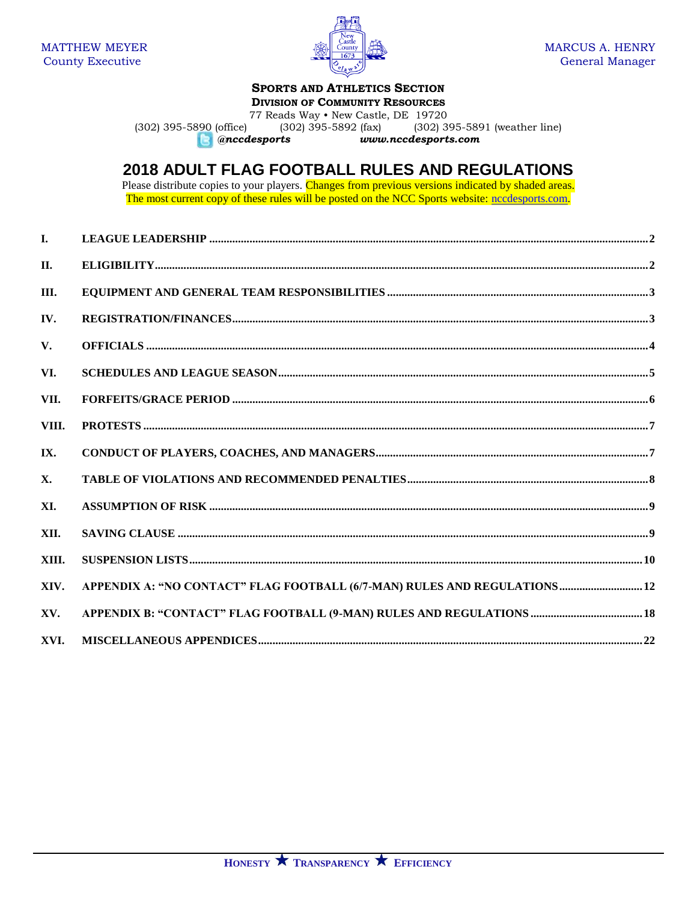

# **SPORTS AND ATHLETICS SECTION**

**DIVISION OF COMMUNITY RESOURCES** 

77 Reads Way . New Castle, DE 19720 (302) 395-5890 (office)  $(302)$  395-5892 (fax) (302) 395-5891 (weather line) **C** @nccdesports www.nccdesports.com

# **2018 ADULT FLAG FOOTBALL RULES AND REGULATIONS**

Please distribute copies to your players. Changes from previous versions indicated by shaded areas.<br>The most current copy of these rules will be posted on the NCC Sports website: necessports.com.

| $\mathbf{I}$ . |                                                                            |  |
|----------------|----------------------------------------------------------------------------|--|
| II.            |                                                                            |  |
| III.           |                                                                            |  |
| IV.            |                                                                            |  |
| V.             |                                                                            |  |
| VI.            |                                                                            |  |
| VII.           |                                                                            |  |
| VIII.          |                                                                            |  |
| IX.            |                                                                            |  |
| <b>X.</b>      |                                                                            |  |
| XI.            |                                                                            |  |
| XII.           |                                                                            |  |
| XIII.          |                                                                            |  |
| XIV.           | APPENDIX A: "NO CONTACT" FLAG FOOTBALL (6/7-MAN) RULES AND REGULATIONS  12 |  |
| XV.            |                                                                            |  |
| XVI.           |                                                                            |  |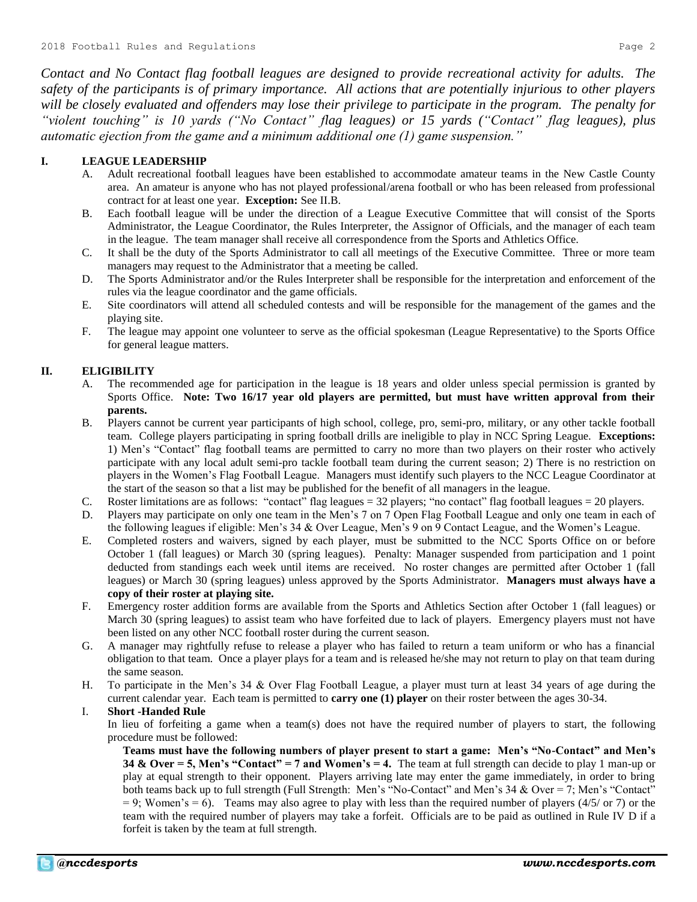*Contact and No Contact flag football leagues are designed to provide recreational activity for adults. The safety of the participants is of primary importance. All actions that are potentially injurious to other players will be closely evaluated and offenders may lose their privilege to participate in the program. The penalty for "violent touching" is 10 yards ("No Contact" flag leagues) or 15 yards ("Contact" flag leagues), plus automatic ejection from the game and a minimum additional one (1) game suspension."*

## **I. LEAGUE LEADERSHIP**

- A. Adult recreational football leagues have been established to accommodate amateur teams in the New Castle County area. An amateur is anyone who has not played professional/arena football or who has been released from professional contract for at least one year. **Exception:** See II.B.
- B. Each football league will be under the direction of a League Executive Committee that will consist of the Sports Administrator, the League Coordinator, the Rules Interpreter, the Assignor of Officials, and the manager of each team in the league. The team manager shall receive all correspondence from the Sports and Athletics Office.
- C. It shall be the duty of the Sports Administrator to call all meetings of the Executive Committee. Three or more team managers may request to the Administrator that a meeting be called.
- D. The Sports Administrator and/or the Rules Interpreter shall be responsible for the interpretation and enforcement of the rules via the league coordinator and the game officials.
- E. Site coordinators will attend all scheduled contests and will be responsible for the management of the games and the playing site.
- F. The league may appoint one volunteer to serve as the official spokesman (League Representative) to the Sports Office for general league matters.

#### **II. ELIGIBILITY**

- A. The recommended age for participation in the league is 18 years and older unless special permission is granted by Sports Office. **Note: Two 16/17 year old players are permitted, but must have written approval from their parents.**
- B. Players cannot be current year participants of high school, college, pro, semi-pro, military, or any other tackle football team. College players participating in spring football drills are ineligible to play in NCC Spring League. **Exceptions:** 1) Men's "Contact" flag football teams are permitted to carry no more than two players on their roster who actively participate with any local adult semi-pro tackle football team during the current season; 2) There is no restriction on players in the Women's Flag Football League. Managers must identify such players to the NCC League Coordinator at the start of the season so that a list may be published for the benefit of all managers in the league.
- C. Roster limitations are as follows: "contact" flag leagues = 32 players; "no contact" flag football leagues = 20 players.
- D. Players may participate on only one team in the Men's 7 on 7 Open Flag Football League and only one team in each of the following leagues if eligible: Men's 34 & Over League, Men's 9 on 9 Contact League, and the Women's League.
- E. Completed rosters and waivers, signed by each player, must be submitted to the NCC Sports Office on or before October 1 (fall leagues) or March 30 (spring leagues). Penalty: Manager suspended from participation and 1 point deducted from standings each week until items are received. No roster changes are permitted after October 1 (fall leagues) or March 30 (spring leagues) unless approved by the Sports Administrator. **Managers must always have a copy of their roster at playing site.**
- F. Emergency roster addition forms are available from the Sports and Athletics Section after October 1 (fall leagues) or March 30 (spring leagues) to assist team who have forfeited due to lack of players. Emergency players must not have been listed on any other NCC football roster during the current season.
- G. A manager may rightfully refuse to release a player who has failed to return a team uniform or who has a financial obligation to that team. Once a player plays for a team and is released he/she may not return to play on that team during the same season.
- H. To participate in the Men's 34 & Over Flag Football League, a player must turn at least 34 years of age during the current calendar year. Each team is permitted to **carry one (1) player** on their roster between the ages 30-34.

## I. **Short -Handed Rule**

In lieu of forfeiting a game when a team(s) does not have the required number of players to start, the following procedure must be followed:

**Teams must have the following numbers of player present to start a game: Men's "No-Contact" and Men's 34 & Over = 5, Men's "Contact" = 7 and Women's = 4.** The team at full strength can decide to play 1 man-up or play at equal strength to their opponent. Players arriving late may enter the game immediately, in order to bring both teams back up to full strength (Full Strength: Men's "No-Contact" and Men's 34 & Over = 7; Men's "Contact"  $= 9$ ; Women's  $= 6$ ). Teams may also agree to play with less than the required number of players (4/5/ or 7) or the team with the required number of players may take a forfeit. Officials are to be paid as outlined in Rule IV D if a forfeit is taken by the team at full strength.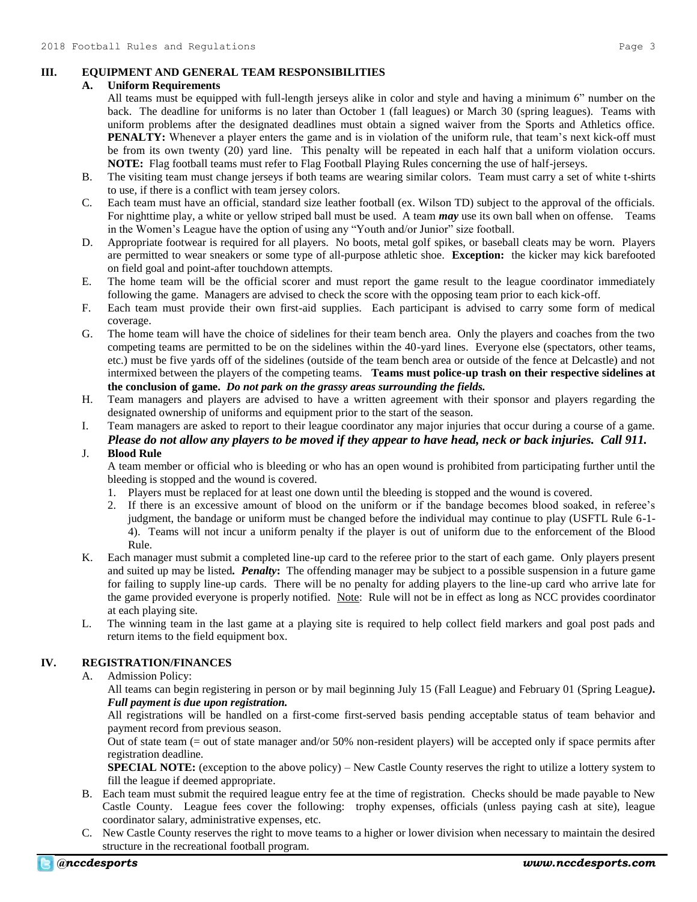## **III. EQUIPMENT AND GENERAL TEAM RESPONSIBILITIES**

#### **A. Uniform Requirements**

- All teams must be equipped with full-length jerseys alike in color and style and having a minimum 6" number on the back. The deadline for uniforms is no later than October 1 (fall leagues) or March 30 (spring leagues). Teams with uniform problems after the designated deadlines must obtain a signed waiver from the Sports and Athletics office. **PENALTY:** Whenever a player enters the game and is in violation of the uniform rule, that team's next kick-off must be from its own twenty (20) yard line. This penalty will be repeated in each half that a uniform violation occurs. **NOTE:** Flag football teams must refer to Flag Football Playing Rules concerning the use of half-jerseys.
- B. The visiting team must change jerseys if both teams are wearing similar colors. Team must carry a set of white t-shirts to use, if there is a conflict with team jersey colors.
- C. Each team must have an official, standard size leather football (ex. Wilson TD) subject to the approval of the officials. For nighttime play, a white or yellow striped ball must be used. A team *may* use its own ball when on offense. Teams in the Women's League have the option of using any "Youth and/or Junior" size football.
- D. Appropriate footwear is required for all players. No boots, metal golf spikes, or baseball cleats may be worn. Players are permitted to wear sneakers or some type of all-purpose athletic shoe. **Exception:** the kicker may kick barefooted on field goal and point-after touchdown attempts.
- E. The home team will be the official scorer and must report the game result to the league coordinator immediately following the game. Managers are advised to check the score with the opposing team prior to each kick-off.
- F. Each team must provide their own first-aid supplies. Each participant is advised to carry some form of medical coverage.
- G. The home team will have the choice of sidelines for their team bench area. Only the players and coaches from the two competing teams are permitted to be on the sidelines within the 40-yard lines. Everyone else (spectators, other teams, etc.) must be five yards off of the sidelines (outside of the team bench area or outside of the fence at Delcastle) and not intermixed between the players of the competing teams. **Teams must police-up trash on their respective sidelines at the conclusion of game.** *Do not park on the grassy areas surrounding the fields.*
- H. Team managers and players are advised to have a written agreement with their sponsor and players regarding the designated ownership of uniforms and equipment prior to the start of the season.
- I. Team managers are asked to report to their league coordinator any major injuries that occur during a course of a game. *Please do not allow any players to be moved if they appear to have head, neck or back injuries. Call 911.*

## J. **Blood Rule**

A team member or official who is bleeding or who has an open wound is prohibited from participating further until the bleeding is stopped and the wound is covered.

- 1. Players must be replaced for at least one down until the bleeding is stopped and the wound is covered.
- 2. If there is an excessive amount of blood on the uniform or if the bandage becomes blood soaked, in referee's judgment, the bandage or uniform must be changed before the individual may continue to play (USFTL Rule 6-1- 4). Teams will not incur a uniform penalty if the player is out of uniform due to the enforcement of the Blood Rule.
- K. Each manager must submit a completed line-up card to the referee prior to the start of each game. Only players present and suited up may be listed*. Penalty***:** The offending manager may be subject to a possible suspension in a future game for failing to supply line-up cards. There will be no penalty for adding players to the line-up card who arrive late for the game provided everyone is properly notified. Note: Rule will not be in effect as long as NCC provides coordinator at each playing site.
- L. The winning team in the last game at a playing site is required to help collect field markers and goal post pads and return items to the field equipment box.

# **IV. REGISTRATION/FINANCES**

A. Admission Policy:

All teams can begin registering in person or by mail beginning July 15 (Fall League) and February 01 (Spring League*). Full payment is due upon registration.*

All registrations will be handled on a first-come first-served basis pending acceptable status of team behavior and payment record from previous season.

Out of state team (= out of state manager and/or 50% non-resident players) will be accepted only if space permits after registration deadline.

**SPECIAL NOTE:** (exception to the above policy) – New Castle County reserves the right to utilize a lottery system to fill the league if deemed appropriate.

- B. Each team must submit the required league entry fee at the time of registration. Checks should be made payable to New Castle County. League fees cover the following: trophy expenses, officials (unless paying cash at site), league coordinator salary, administrative expenses, etc.
- C. New Castle County reserves the right to move teams to a higher or lower division when necessary to maintain the desired structure in the recreational football program.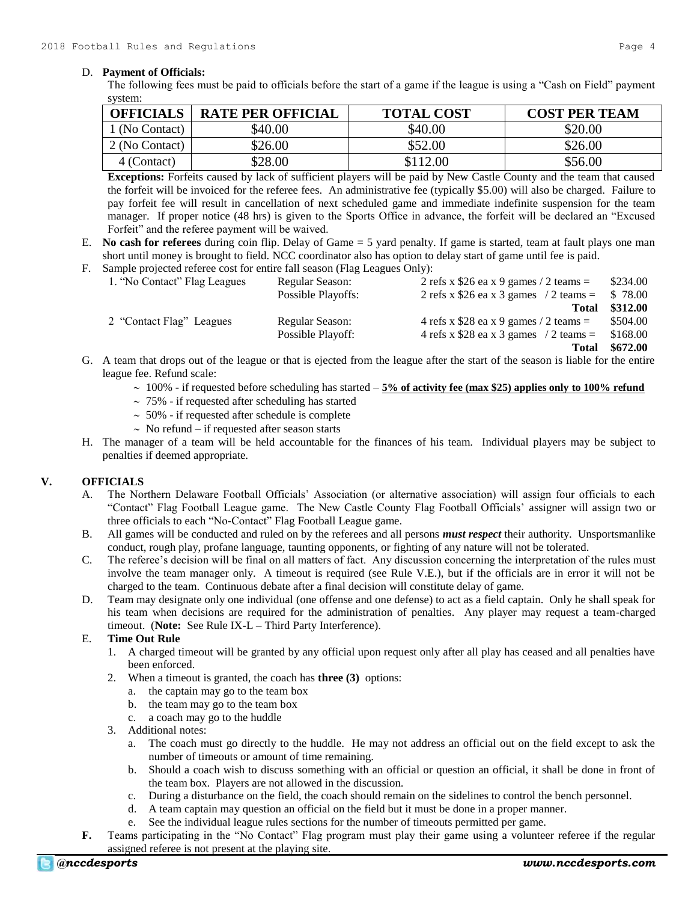#### D. **Payment of Officials:**

The following fees must be paid to officials before the start of a game if the league is using a "Cash on Field" payment system:

| <b>OFFICIALS</b> | <b>RATE PER OFFICIAL</b> | <b>TOTAL COST</b> | <b>COST PER TEAM</b> |
|------------------|--------------------------|-------------------|----------------------|
| 1 (No Contact)   | \$40.00                  | \$40.00           | \$20.00              |
| 2 (No Contact)   | \$26.00                  | \$52.00           | \$26.00              |
| 4 (Contact)      | \$28.00                  | \$112.00          | \$56.00              |

**Exceptions:** Forfeits caused by lack of sufficient players will be paid by New Castle County and the team that caused the forfeit will be invoiced for the referee fees. An administrative fee (typically \$5.00) will also be charged. Failure to pay forfeit fee will result in cancellation of next scheduled game and immediate indefinite suspension for the team manager. If proper notice (48 hrs) is given to the Sports Office in advance, the forfeit will be declared an "Excused Forfeit" and the referee payment will be waived.

- E. **No cash for referees** during coin flip. Delay of Game = 5 yard penalty. If game is started, team at fault plays one man short until money is brought to field. NCC coordinator also has option to delay start of game until fee is paid.
- F. Sample projected referee cost for entire fall season (Flag Leagues Only):

| 1. "No Contact" Flag Leagues | Regular Season:    | 2 refs x \$26 ea x 9 games / 2 teams $=$         | \$234.00 |
|------------------------------|--------------------|--------------------------------------------------|----------|
|                              | Possible Playoffs: | 2 refs x \$26 ea x 3 games $/2$ teams =          | \$78.00  |
|                              |                    | <b>Total</b>                                     | \$312.00 |
| 2 "Contact Flag" Leagues     | Regular Season:    | 4 refs x $$28$ ea x 9 games / 2 teams =          | \$504.00 |
|                              | Possible Playoff:  | 4 refs x \$28 ea x 3 games $\frac{1}{2}$ teams = | \$168.00 |
|                              |                    | <b>Total</b>                                     | \$672.00 |

- G. A team that drops out of the league or that is ejected from the league after the start of the season is liable for the entire league fee. Refund scale:
	- $\sim 100\%$  if requested before scheduling has started  $-5\%$  of activity fee (max \$25) applies only to 100% refund
	- $\sim$  75% if requested after scheduling has started
	- $\sim$  50% if requested after schedule is complete
	- $\sim$  No refund if requested after season starts
- H. The manager of a team will be held accountable for the finances of his team. Individual players may be subject to penalties if deemed appropriate.

## **V. OFFICIALS**

- A. The Northern Delaware Football Officials' Association (or alternative association) will assign four officials to each "Contact" Flag Football League game. The New Castle County Flag Football Officials' assigner will assign two or three officials to each "No-Contact" Flag Football League game.
- B. All games will be conducted and ruled on by the referees and all persons *must respect* their authority. Unsportsmanlike conduct, rough play, profane language, taunting opponents, or fighting of any nature will not be tolerated.
- C. The referee's decision will be final on all matters of fact. Any discussion concerning the interpretation of the rules must involve the team manager only. A timeout is required (see Rule V.E.), but if the officials are in error it will not be charged to the team. Continuous debate after a final decision will constitute delay of game.
- D. Team may designate only one individual (one offense and one defense) to act as a field captain. Only he shall speak for his team when decisions are required for the administration of penalties. Any player may request a team-charged timeout. (**Note:** See Rule IX-L – Third Party Interference).

## E. **Time Out Rule**

- 1. A charged timeout will be granted by any official upon request only after all play has ceased and all penalties have been enforced.
- 2. When a timeout is granted, the coach has **three (3)** options:
	- a. the captain may go to the team box
	- b. the team may go to the team box
	- c. a coach may go to the huddle
- 3. Additional notes:
	- a. The coach must go directly to the huddle. He may not address an official out on the field except to ask the number of timeouts or amount of time remaining.
	- b. Should a coach wish to discuss something with an official or question an official, it shall be done in front of the team box. Players are not allowed in the discussion.
	- c. During a disturbance on the field, the coach should remain on the sidelines to control the bench personnel.
	- d. A team captain may question an official on the field but it must be done in a proper manner.
	- e. See the individual league rules sections for the number of timeouts permitted per game.
- **F.** Teams participating in the "No Contact" Flag program must play their game using a volunteer referee if the regular assigned referee is not present at the playing site.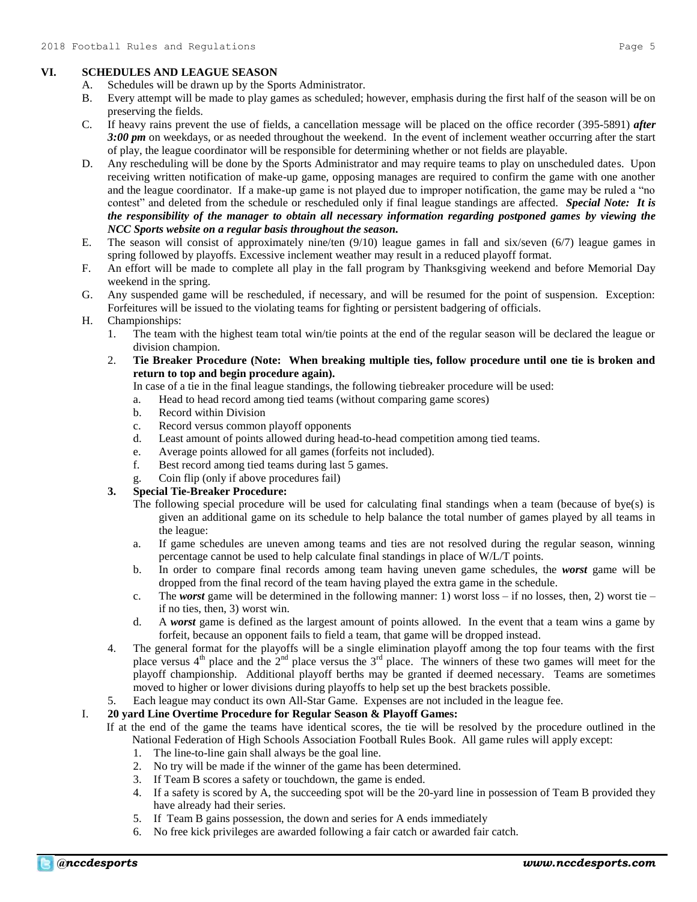# **VI. SCHEDULES AND LEAGUE SEASON**

- A. Schedules will be drawn up by the Sports Administrator.
- B. Every attempt will be made to play games as scheduled; however, emphasis during the first half of the season will be on preserving the fields.
- C. If heavy rains prevent the use of fields, a cancellation message will be placed on the office recorder (395-5891) *after 3:00 pm* on weekdays, or as needed throughout the weekend. In the event of inclement weather occurring after the start of play, the league coordinator will be responsible for determining whether or not fields are playable.
- D. Any rescheduling will be done by the Sports Administrator and may require teams to play on unscheduled dates. Upon receiving written notification of make-up game, opposing manages are required to confirm the game with one another and the league coordinator. If a make-up game is not played due to improper notification, the game may be ruled a "no contest" and deleted from the schedule or rescheduled only if final league standings are affected. *Special Note: It is the responsibility of the manager to obtain all necessary information regarding postponed games by viewing the NCC Sports website on a regular basis throughout the season.*
- E. The season will consist of approximately nine/ten (9/10) league games in fall and six/seven (6/7) league games in spring followed by playoffs. Excessive inclement weather may result in a reduced playoff format.
- F. An effort will be made to complete all play in the fall program by Thanksgiving weekend and before Memorial Day weekend in the spring.
- G. Any suspended game will be rescheduled, if necessary, and will be resumed for the point of suspension. Exception: Forfeitures will be issued to the violating teams for fighting or persistent badgering of officials.
- H. Championships:
	- 1. The team with the highest team total win/tie points at the end of the regular season will be declared the league or division champion.
	- 2. **Tie Breaker Procedure (Note: When breaking multiple ties, follow procedure until one tie is broken and return to top and begin procedure again).**

In case of a tie in the final league standings, the following tiebreaker procedure will be used:

- a. Head to head record among tied teams (without comparing game scores)
- b. Record within Division
- c. Record versus common playoff opponents
- d. Least amount of points allowed during head-to-head competition among tied teams.
- e. Average points allowed for all games (forfeits not included).
- f. Best record among tied teams during last 5 games.
- g. Coin flip (only if above procedures fail)

## **3. Special Tie-Breaker Procedure:**

- The following special procedure will be used for calculating final standings when a team (because of bye(s) is given an additional game on its schedule to help balance the total number of games played by all teams in the league:
- a. If game schedules are uneven among teams and ties are not resolved during the regular season, winning percentage cannot be used to help calculate final standings in place of W/L/T points.
- b. In order to compare final records among team having uneven game schedules, the *worst* game will be dropped from the final record of the team having played the extra game in the schedule.
- c. The *worst* game will be determined in the following manner: 1) worst loss if no losses, then, 2) worst tie if no ties, then, 3) worst win.
- d. A *worst* game is defined as the largest amount of points allowed. In the event that a team wins a game by forfeit, because an opponent fails to field a team, that game will be dropped instead.
- 4. The general format for the playoffs will be a single elimination playoff among the top four teams with the first place versus  $4<sup>th</sup>$  place and the  $2<sup>nd</sup>$  place versus the  $3<sup>rd</sup>$  place. The winners of these two games will meet for the playoff championship. Additional playoff berths may be granted if deemed necessary. Teams are sometimes moved to higher or lower divisions during playoffs to help set up the best brackets possible.
- 5. Each league may conduct its own All-Star Game. Expenses are not included in the league fee.

## I. **20 yard Line Overtime Procedure for Regular Season & Playoff Games:**

- If at the end of the game the teams have identical scores, the tie will be resolved by the procedure outlined in the National Federation of High Schools Association Football Rules Book. All game rules will apply except:
	- 1. The line-to-line gain shall always be the goal line.
	- 2. No try will be made if the winner of the game has been determined.
	- 3. If Team B scores a safety or touchdown, the game is ended.
	- 4. If a safety is scored by A, the succeeding spot will be the 20-yard line in possession of Team B provided they have already had their series.
	- 5. If Team B gains possession, the down and series for A ends immediately
	- 6. No free kick privileges are awarded following a fair catch or awarded fair catch.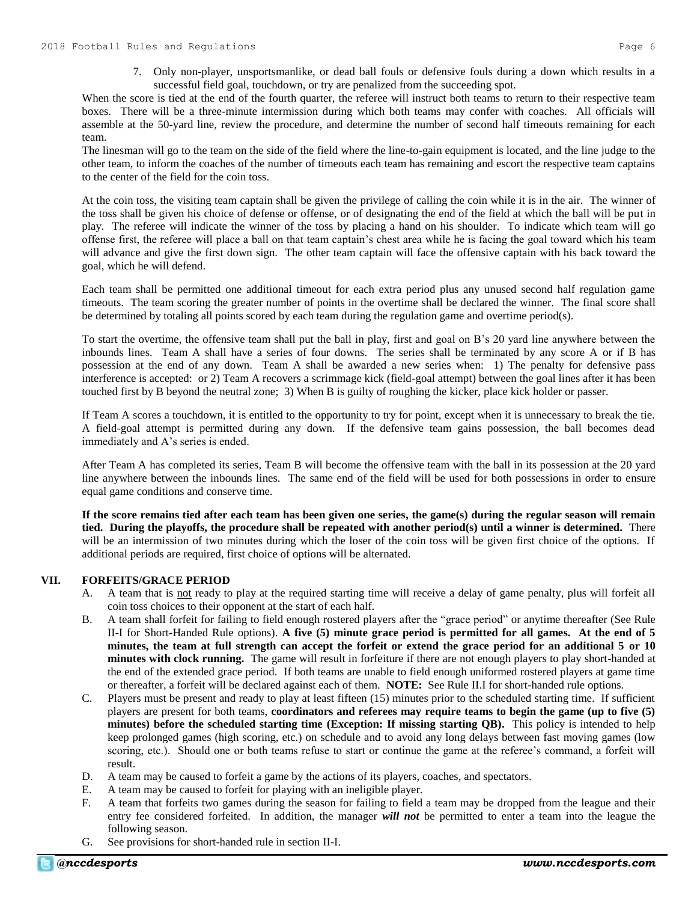When the score is tied at the end of the fourth quarter, the referee will instruct both teams to return to their respective team boxes. There will be a three-minute intermission during which both teams may confer with coaches. All officials will assemble at the 50-yard line, review the procedure, and determine the number of second half timeouts remaining for each team.

The linesman will go to the team on the side of the field where the line-to-gain equipment is located, and the line judge to the other team, to inform the coaches of the number of timeouts each team has remaining and escort the respective team captains to the center of the field for the coin toss.

At the coin toss, the visiting team captain shall be given the privilege of calling the coin while it is in the air. The winner of the toss shall be given his choice of defense or offense, or of designating the end of the field at which the ball will be put in play. The referee will indicate the winner of the toss by placing a hand on his shoulder. To indicate which team will go offense first, the referee will place a ball on that team captain's chest area while he is facing the goal toward which his team will advance and give the first down sign. The other team captain will face the offensive captain with his back toward the goal, which he will defend.

Each team shall be permitted one additional timeout for each extra period plus any unused second half regulation game timeouts. The team scoring the greater number of points in the overtime shall be declared the winner. The final score shall be determined by totaling all points scored by each team during the regulation game and overtime period(s).

To start the overtime, the offensive team shall put the ball in play, first and goal on B's 20 yard line anywhere between the inbounds lines. Team A shall have a series of four downs. The series shall be terminated by any score A or if B has possession at the end of any down. Team A shall be awarded a new series when: 1) The penalty for defensive pass interference is accepted: or 2) Team A recovers a scrimmage kick (field-goal attempt) between the goal lines after it has been touched first by B beyond the neutral zone; 3) When B is guilty of roughing the kicker, place kick holder or passer.

If Team A scores a touchdown, it is entitled to the opportunity to try for point, except when it is unnecessary to break the tie. A field-goal attempt is permitted during any down. If the defensive team gains possession, the ball becomes dead immediately and A's series is ended.

After Team A has completed its series, Team B will become the offensive team with the ball in its possession at the 20 yard line anywhere between the inbounds lines. The same end of the field will be used for both possessions in order to ensure equal game conditions and conserve time.

**If the score remains tied after each team has been given one series, the game(s) during the regular season will remain tied. During the playoffs, the procedure shall be repeated with another period(s) until a winner is determined.** There will be an intermission of two minutes during which the loser of the coin toss will be given first choice of the options. If additional periods are required, first choice of options will be alternated.

## **VII. FORFEITS/GRACE PERIOD**

- A. A team that is not ready to play at the required starting time will receive a delay of game penalty, plus will forfeit all coin toss choices to their opponent at the start of each half.
- B. A team shall forfeit for failing to field enough rostered players after the "grace period" or anytime thereafter (See Rule II-I for Short-Handed Rule options). **A five (5) minute grace period is permitted for all games. At the end of 5 minutes, the team at full strength can accept the forfeit or extend the grace period for an additional 5 or 10 minutes with clock running.** The game will result in forfeiture if there are not enough players to play short-handed at the end of the extended grace period. If both teams are unable to field enough uniformed rostered players at game time or thereafter, a forfeit will be declared against each of them. **NOTE:** See Rule II.I for short-handed rule options.
- C. Players must be present and ready to play at least fifteen (15) minutes prior to the scheduled starting time. If sufficient players are present for both teams, **coordinators and referees may require teams to begin the game (up to five (5) minutes) before the scheduled starting time (Exception: If missing starting QB).** This policy is intended to help keep prolonged games (high scoring, etc.) on schedule and to avoid any long delays between fast moving games (low scoring, etc.). Should one or both teams refuse to start or continue the game at the referee's command, a forfeit will result.
- D. A team may be caused to forfeit a game by the actions of its players, coaches, and spectators.
- E. A team may be caused to forfeit for playing with an ineligible player.
- F. A team that forfeits two games during the season for failing to field a team may be dropped from the league and their entry fee considered forfeited. In addition, the manager *will not* be permitted to enter a team into the league the following season.
- G. See provisions for short-handed rule in section II-I.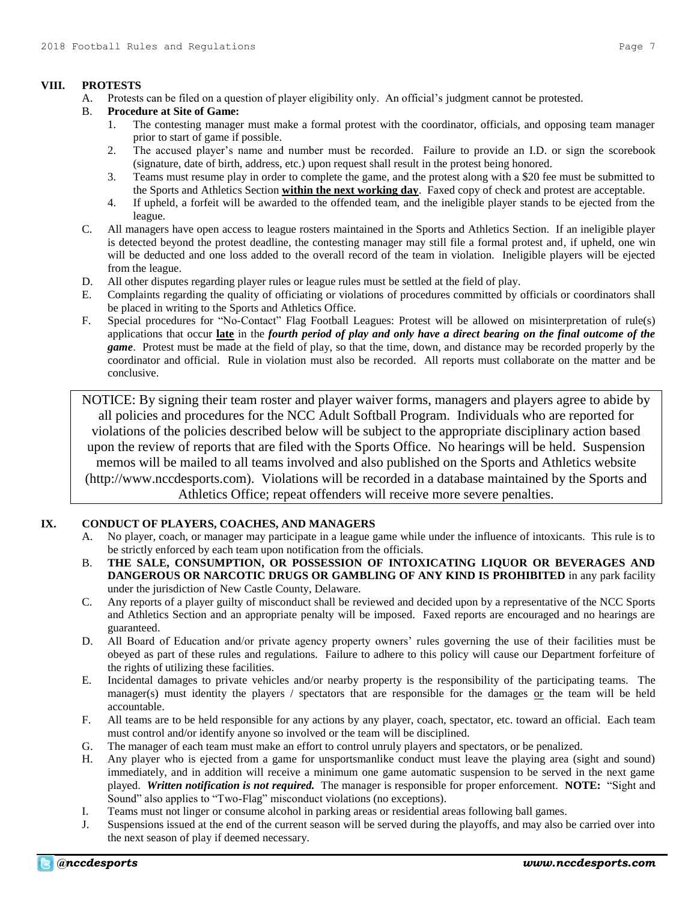## **VIII. PROTESTS**

- A. Protests can be filed on a question of player eligibility only. An official's judgment cannot be protested.
- B. **Procedure at Site of Game:**
	- 1. The contesting manager must make a formal protest with the coordinator, officials, and opposing team manager prior to start of game if possible.
	- 2. The accused player's name and number must be recorded. Failure to provide an I.D. or sign the scorebook (signature, date of birth, address, etc.) upon request shall result in the protest being honored.
	- 3. Teams must resume play in order to complete the game, and the protest along with a \$20 fee must be submitted to the Sports and Athletics Section **within the next working day**. Faxed copy of check and protest are acceptable.
	- 4. If upheld, a forfeit will be awarded to the offended team, and the ineligible player stands to be ejected from the league.
- C. All managers have open access to league rosters maintained in the Sports and Athletics Section. If an ineligible player is detected beyond the protest deadline, the contesting manager may still file a formal protest and, if upheld, one win will be deducted and one loss added to the overall record of the team in violation. Ineligible players will be ejected from the league.
- D. All other disputes regarding player rules or league rules must be settled at the field of play.
- E. Complaints regarding the quality of officiating or violations of procedures committed by officials or coordinators shall be placed in writing to the Sports and Athletics Office.
- F. Special procedures for "No-Contact" Flag Football Leagues: Protest will be allowed on misinterpretation of rule(s) applications that occur **late** in the *fourth period of play and only have a direct bearing on the final outcome of the game*. Protest must be made at the field of play, so that the time, down, and distance may be recorded properly by the coordinator and official. Rule in violation must also be recorded. All reports must collaborate on the matter and be conclusive.

NOTICE: By signing their team roster and player waiver forms, managers and players agree to abide by all policies and procedures for the NCC Adult Softball Program. Individuals who are reported for violations of the policies described below will be subject to the appropriate disciplinary action based upon the review of reports that are filed with the Sports Office. No hearings will be held. Suspension memos will be mailed to all teams involved and also published on the Sports and Athletics website (http://www.nccdesports.com). Violations will be recorded in a database maintained by the Sports and Athletics Office; repeat offenders will receive more severe penalties.

## **IX. CONDUCT OF PLAYERS, COACHES, AND MANAGERS**

- A. No player, coach, or manager may participate in a league game while under the influence of intoxicants. This rule is to be strictly enforced by each team upon notification from the officials.
- B. **THE SALE, CONSUMPTION, OR POSSESSION OF INTOXICATING LIQUOR OR BEVERAGES AND DANGEROUS OR NARCOTIC DRUGS OR GAMBLING OF ANY KIND IS PROHIBITED** in any park facility under the jurisdiction of New Castle County, Delaware.
- C. Any reports of a player guilty of misconduct shall be reviewed and decided upon by a representative of the NCC Sports and Athletics Section and an appropriate penalty will be imposed. Faxed reports are encouraged and no hearings are guaranteed.
- D. All Board of Education and/or private agency property owners' rules governing the use of their facilities must be obeyed as part of these rules and regulations. Failure to adhere to this policy will cause our Department forfeiture of the rights of utilizing these facilities.
- E. Incidental damages to private vehicles and/or nearby property is the responsibility of the participating teams. The manager(s) must identity the players / spectators that are responsible for the damages or the team will be held accountable.
- F. All teams are to be held responsible for any actions by any player, coach, spectator, etc. toward an official. Each team must control and/or identify anyone so involved or the team will be disciplined.
- G. The manager of each team must make an effort to control unruly players and spectators, or be penalized.
- H. Any player who is ejected from a game for unsportsmanlike conduct must leave the playing area (sight and sound) immediately, and in addition will receive a minimum one game automatic suspension to be served in the next game played. *Written notification is not required.* The manager is responsible for proper enforcement. **NOTE:** "Sight and Sound" also applies to "Two-Flag" misconduct violations (no exceptions).
- I. Teams must not linger or consume alcohol in parking areas or residential areas following ball games.
- J. Suspensions issued at the end of the current season will be served during the playoffs, and may also be carried over into the next season of play if deemed necessary.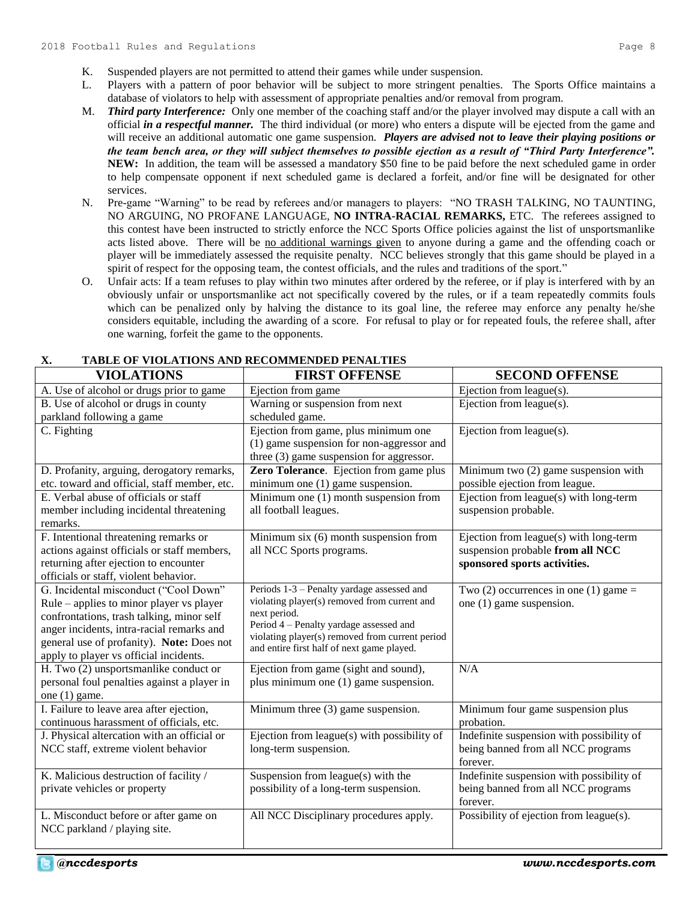- K. Suspended players are not permitted to attend their games while under suspension.
- L. Players with a pattern of poor behavior will be subject to more stringent penalties. The Sports Office maintains a database of violators to help with assessment of appropriate penalties and/or removal from program.
- M. *Third party Interference:* Only one member of the coaching staff and/or the player involved may dispute a call with an official *in a respectful manner.* The third individual (or more) who enters a dispute will be ejected from the game and will receive an additional automatic one game suspension. *Players are advised not to leave their playing positions or the team bench area, or they will subject themselves to possible ejection as a result of "Third Party Interference".*  **NEW:** In addition, the team will be assessed a mandatory \$50 fine to be paid before the next scheduled game in order to help compensate opponent if next scheduled game is declared a forfeit, and/or fine will be designated for other services.
- N. Pre-game "Warning" to be read by referees and/or managers to players: "NO TRASH TALKING, NO TAUNTING, NO ARGUING, NO PROFANE LANGUAGE, **NO INTRA-RACIAL REMARKS,** ETC. The referees assigned to this contest have been instructed to strictly enforce the NCC Sports Office policies against the list of unsportsmanlike acts listed above. There will be no additional warnings given to anyone during a game and the offending coach or player will be immediately assessed the requisite penalty. NCC believes strongly that this game should be played in a spirit of respect for the opposing team, the contest officials, and the rules and traditions of the sport."
- O. Unfair acts: If a team refuses to play within two minutes after ordered by the referee, or if play is interfered with by an obviously unfair or unsportsmanlike act not specifically covered by the rules, or if a team repeatedly commits fouls which can be penalized only by halving the distance to its goal line, the referee may enforce any penalty he/she considers equitable, including the awarding of a score. For refusal to play or for repeated fouls, the referee shall, after one warning, forfeit the game to the opponents.

| <b>VIOLATIONS</b>                                                                                                                                                                                                                                                  | <b>FIRST OFFENSE</b>                                                                                                                                                                                                                                   | <b>SECOND OFFENSE</b>                                                                                      |
|--------------------------------------------------------------------------------------------------------------------------------------------------------------------------------------------------------------------------------------------------------------------|--------------------------------------------------------------------------------------------------------------------------------------------------------------------------------------------------------------------------------------------------------|------------------------------------------------------------------------------------------------------------|
| A. Use of alcohol or drugs prior to game                                                                                                                                                                                                                           | Ejection from game                                                                                                                                                                                                                                     | Ejection from league(s).                                                                                   |
| B. Use of alcohol or drugs in county                                                                                                                                                                                                                               | Warning or suspension from next                                                                                                                                                                                                                        | Ejection from $league(s)$ .                                                                                |
| parkland following a game                                                                                                                                                                                                                                          | scheduled game.                                                                                                                                                                                                                                        |                                                                                                            |
| C. Fighting                                                                                                                                                                                                                                                        | Ejection from game, plus minimum one<br>(1) game suspension for non-aggressor and<br>three $(3)$ game suspension for aggressor.                                                                                                                        | Ejection from league(s).                                                                                   |
| D. Profanity, arguing, derogatory remarks,                                                                                                                                                                                                                         | Zero Tolerance. Ejection from game plus                                                                                                                                                                                                                | Minimum two (2) game suspension with                                                                       |
| etc. toward and official, staff member, etc.                                                                                                                                                                                                                       | minimum one (1) game suspension.                                                                                                                                                                                                                       | possible ejection from league.                                                                             |
| E. Verbal abuse of officials or staff<br>member including incidental threatening<br>remarks.                                                                                                                                                                       | Minimum one $(1)$ month suspension from<br>all football leagues.                                                                                                                                                                                       | Ejection from league(s) with long-term<br>suspension probable.                                             |
| F. Intentional threatening remarks or<br>actions against officials or staff members,<br>returning after ejection to encounter<br>officials or staff, violent behavior.                                                                                             | Minimum six (6) month suspension from<br>all NCC Sports programs.                                                                                                                                                                                      | Ejection from league(s) with long-term<br>suspension probable from all NCC<br>sponsored sports activities. |
| G. Incidental misconduct ("Cool Down"<br>Rule – applies to minor player vs player<br>confrontations, trash talking, minor self<br>anger incidents, intra-racial remarks and<br>general use of profanity). Note: Does not<br>apply to player vs official incidents. | Periods 1-3 - Penalty yardage assessed and<br>violating player(s) removed from current and<br>next period.<br>Period 4 – Penalty yardage assessed and<br>violating player(s) removed from current period<br>and entire first half of next game played. | Two $(2)$ occurrences in one $(1)$ game =<br>one (1) game suspension.                                      |
| $\overline{H}$ . Two (2) unsportsmanlike conduct or<br>personal foul penalties against a player in<br>one $(1)$ game.                                                                                                                                              | Ejection from game (sight and sound),<br>plus minimum one (1) game suspension.                                                                                                                                                                         | N/A                                                                                                        |
| I. Failure to leave area after ejection,<br>continuous harassment of officials, etc.                                                                                                                                                                               | Minimum three (3) game suspension.                                                                                                                                                                                                                     | Minimum four game suspension plus<br>probation.                                                            |
| J. Physical altercation with an official or<br>NCC staff, extreme violent behavior                                                                                                                                                                                 | Ejection from league(s) with possibility of<br>long-term suspension.                                                                                                                                                                                   | Indefinite suspension with possibility of<br>being banned from all NCC programs<br>forever.                |
| K. Malicious destruction of facility /                                                                                                                                                                                                                             | Suspension from league(s) with the                                                                                                                                                                                                                     | Indefinite suspension with possibility of                                                                  |
| private vehicles or property                                                                                                                                                                                                                                       | possibility of a long-term suspension.                                                                                                                                                                                                                 | being banned from all NCC programs<br>forever.                                                             |
| L. Misconduct before or after game on<br>NCC parkland / playing site.                                                                                                                                                                                              | All NCC Disciplinary procedures apply.                                                                                                                                                                                                                 | Possibility of ejection from league(s).                                                                    |

# **X. TABLE OF VIOLATIONS AND RECOMMENDED PENALTIES**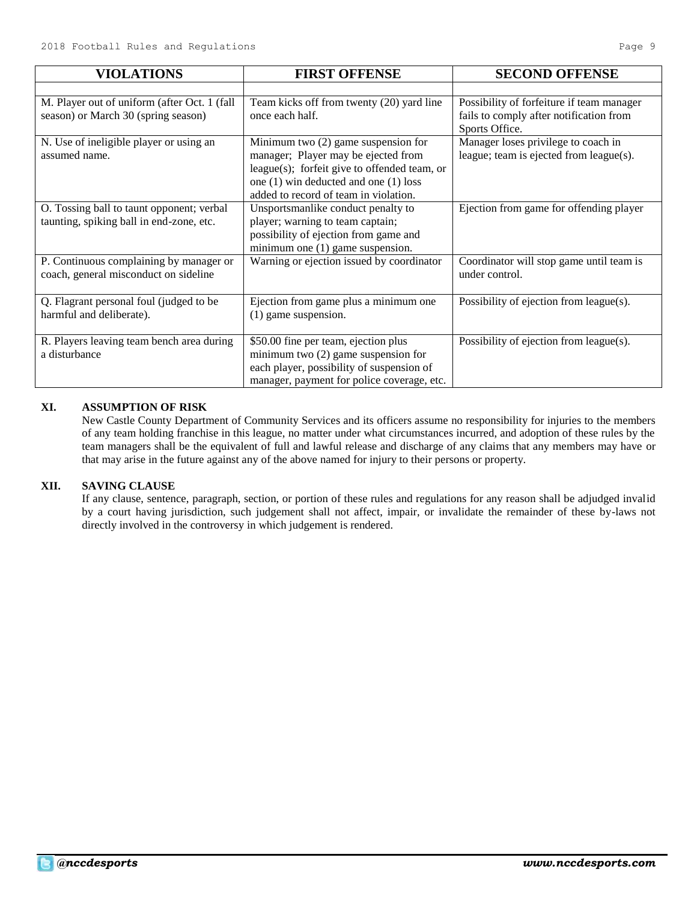| <b>VIOLATIONS</b>                                                                     | <b>FIRST OFFENSE</b>                                                                                                                                                                                         | <b>SECOND OFFENSE</b>                                                                                  |
|---------------------------------------------------------------------------------------|--------------------------------------------------------------------------------------------------------------------------------------------------------------------------------------------------------------|--------------------------------------------------------------------------------------------------------|
|                                                                                       |                                                                                                                                                                                                              |                                                                                                        |
| M. Player out of uniform (after Oct. 1 (fall<br>season) or March 30 (spring season)   | Team kicks off from twenty (20) yard line<br>once each half.                                                                                                                                                 | Possibility of forfeiture if team manager<br>fails to comply after notification from<br>Sports Office. |
| N. Use of ineligible player or using an<br>assumed name.                              | Minimum two (2) game suspension for<br>manager; Player may be ejected from<br>league(s); forfeit give to offended team, or<br>one (1) win deducted and one (1) loss<br>added to record of team in violation. | Manager loses privilege to coach in<br>league; team is ejected from league(s).                         |
| O. Tossing ball to taunt opponent; verbal<br>taunting, spiking ball in end-zone, etc. | Unsportsmanlike conduct penalty to<br>player; warning to team captain;<br>possibility of ejection from game and<br>minimum one (1) game suspension.                                                          | Ejection from game for offending player                                                                |
| P. Continuous complaining by manager or<br>coach, general misconduct on sideline      | Warning or ejection issued by coordinator                                                                                                                                                                    | Coordinator will stop game until team is<br>under control.                                             |
| Q. Flagrant personal foul (judged to be<br>harmful and deliberate).                   | Ejection from game plus a minimum one<br>(1) game suspension.                                                                                                                                                | Possibility of ejection from league(s).                                                                |
| R. Players leaving team bench area during<br>a disturbance                            | \$50.00 fine per team, ejection plus<br>minimum two $(2)$ game suspension for<br>each player, possibility of suspension of<br>manager, payment for police coverage, etc.                                     | Possibility of ejection from league(s).                                                                |

# **XI. ASSUMPTION OF RISK**

New Castle County Department of Community Services and its officers assume no responsibility for injuries to the members of any team holding franchise in this league, no matter under what circumstances incurred, and adoption of these rules by the team managers shall be the equivalent of full and lawful release and discharge of any claims that any members may have or that may arise in the future against any of the above named for injury to their persons or property.

# **XII. SAVING CLAUSE**

If any clause, sentence, paragraph, section, or portion of these rules and regulations for any reason shall be adjudged invalid by a court having jurisdiction, such judgement shall not affect, impair, or invalidate the remainder of these by-laws not directly involved in the controversy in which judgement is rendered.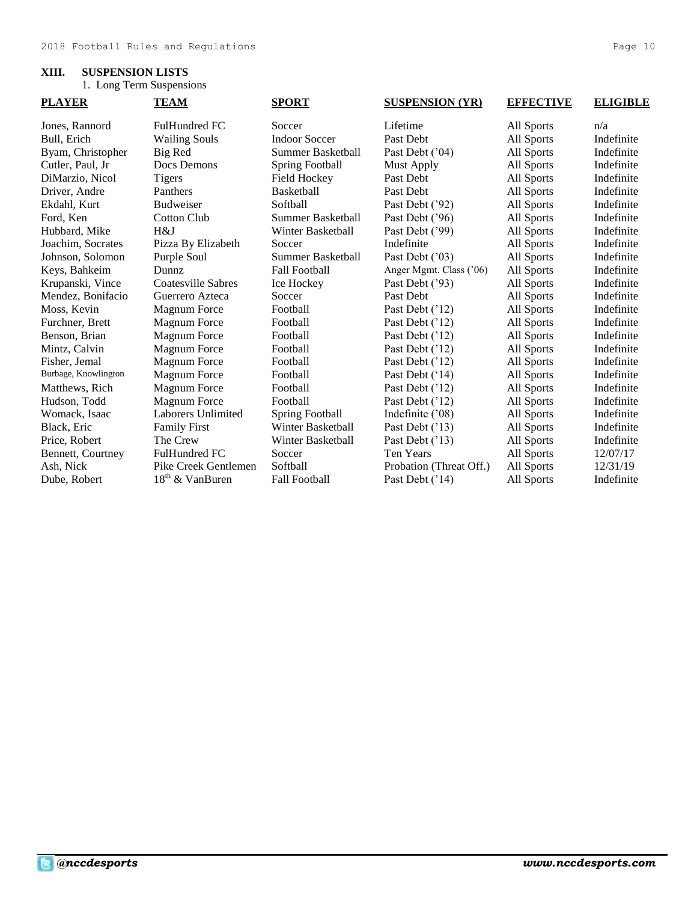# **XIII. SUSPENSION LISTS**

1. Long Term Suspensions

| <b>PLAYER</b>        | <b>TEAM</b>                 | <b>SPORT</b>             | <b>SUSPENSION (YR)</b>  | <b>EFFECTIVE</b> | <b>ELIGIBLE</b> |
|----------------------|-----------------------------|--------------------------|-------------------------|------------------|-----------------|
| Jones, Rannord       | <b>FulHundred FC</b>        | Soccer                   | Lifetime                | All Sports       | n/a             |
| Bull, Erich          | <b>Wailing Souls</b>        | <b>Indoor Soccer</b>     | Past Debt               | All Sports       | Indefinite      |
| Byam, Christopher    | Big Red                     | <b>Summer Basketball</b> | Past Debt ('04)         | All Sports       | Indefinite      |
| Cutler, Paul, Jr.    | Docs Demons                 | <b>Spring Football</b>   | <b>Must Apply</b>       | All Sports       | Indefinite      |
| DiMarzio, Nicol      | Tigers                      | Field Hockey             | Past Debt               | All Sports       | Indefinite      |
| Driver, Andre        | Panthers                    | <b>Basketball</b>        | Past Debt               | All Sports       | Indefinite      |
| Ekdahl, Kurt         | <b>Budweiser</b>            | Softball                 | Past Debt ('92)         | All Sports       | Indefinite      |
| Ford, Ken            | <b>Cotton Club</b>          | Summer Basketball        | Past Debt ('96)         | All Sports       | Indefinite      |
| Hubbard, Mike        | H&J                         | Winter Basketball        | Past Debt ('99)         | All Sports       | Indefinite      |
| Joachim, Socrates    | Pizza By Elizabeth          | Soccer                   | Indefinite              | All Sports       | Indefinite      |
| Johnson, Solomon     | Purple Soul                 | Summer Basketball        | Past Debt ('03)         | All Sports       | Indefinite      |
| Keys, Bahkeim        | Dunnz                       | <b>Fall Football</b>     | Anger Mgmt. Class ('06) | All Sports       | Indefinite      |
| Krupanski, Vince     | Coatesville Sabres          | Ice Hockey               | Past Debt ('93)         | All Sports       | Indefinite      |
| Mendez, Bonifacio    | Guerrero Azteca             | Soccer                   | Past Debt               | All Sports       | Indefinite      |
| Moss, Kevin          | <b>Magnum Force</b>         | Football                 | Past Debt ('12)         | All Sports       | Indefinite      |
| Furchner, Brett      | <b>Magnum Force</b>         | Football                 | Past Debt ('12)         | All Sports       | Indefinite      |
| Benson, Brian        | <b>Magnum Force</b>         | Football                 | Past Debt ('12)         | All Sports       | Indefinite      |
| Mintz, Calvin        | <b>Magnum Force</b>         | Football                 | Past Debt ('12)         | All Sports       | Indefinite      |
| Fisher, Jemal        | <b>Magnum Force</b>         | Football                 | Past Debt ('12)         | All Sports       | Indefinite      |
| Burbage, Knowlington | <b>Magnum Force</b>         | Football                 | Past Debt ('14)         | All Sports       | Indefinite      |
| Matthews, Rich       | <b>Magnum Force</b>         | Football                 | Past Debt ('12)         | All Sports       | Indefinite      |
| Hudson, Todd         | <b>Magnum Force</b>         | Football                 | Past Debt ('12)         | All Sports       | Indefinite      |
| Womack, Isaac        | <b>Laborers Unlimited</b>   | <b>Spring Football</b>   | Indefinite ('08)        | All Sports       | Indefinite      |
| Black, Eric          | <b>Family First</b>         | Winter Basketball        | Past Debt ('13)         | All Sports       | Indefinite      |
| Price, Robert        | The Crew                    | Winter Basketball        | Past Debt ('13)         | All Sports       | Indefinite      |
| Bennett, Courtney    | FulHundred FC               | Soccer                   | <b>Ten Years</b>        | All Sports       | 12/07/17        |
| Ash, Nick            | Pike Creek Gentlemen        | Softball                 | Probation (Threat Off.) | All Sports       | 12/31/19        |
| Dube, Robert         | 18 <sup>th</sup> & VanBuren | <b>Fall Football</b>     | Past Debt ('14)         | All Sports       | Indefinite      |
|                      |                             |                          |                         |                  |                 |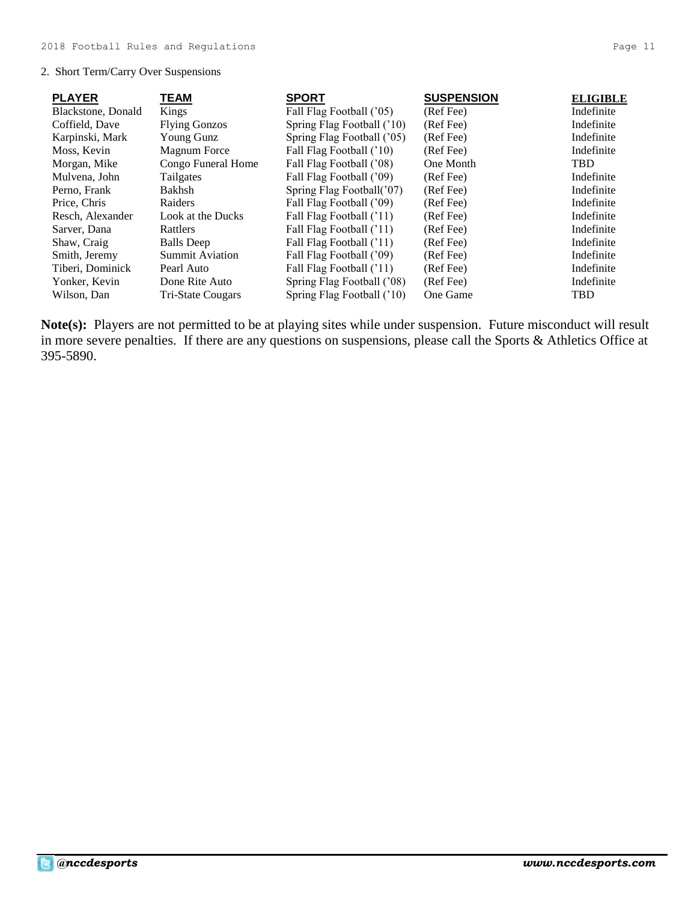# 2. Short Term/Carry Over Suspensions

| <b>PLAYER</b>      | TEAM                     | <b>SPORT</b>               | <b>SUSPENSION</b> | <b>ELIGIBLE</b> |
|--------------------|--------------------------|----------------------------|-------------------|-----------------|
| Blackstone, Donald | Kings                    | Fall Flag Football ('05)   | (Ref Fee)         | Indefinite      |
| Coffield, Dave     | <b>Flying Gonzos</b>     | Spring Flag Football ('10) | (Ref Fee)         | Indefinite      |
| Karpinski, Mark    | Young Gunz               | Spring Flag Football ('05) | (Ref Fee)         | Indefinite      |
| Moss, Kevin        | Magnum Force             | Fall Flag Football ('10)   | (Ref Fee)         | Indefinite      |
| Morgan, Mike       | Congo Funeral Home       | Fall Flag Football ('08)   | One Month         | <b>TBD</b>      |
| Mulvena, John      | Tailgates                | Fall Flag Football ('09)   | (Ref Fee)         | Indefinite      |
| Perno, Frank       | Bakhsh                   | Spring Flag Football('07)  | (Ref Fee)         | Indefinite      |
| Price, Chris       | Raiders                  | Fall Flag Football ('09)   | (Ref Fee)         | Indefinite      |
| Resch, Alexander   | Look at the Ducks        | Fall Flag Football ('11)   | (Ref Fee)         | Indefinite      |
| Sarver, Dana       | Rattlers                 | Fall Flag Football ('11)   | (Ref Fee)         | Indefinite      |
| Shaw, Craig        | <b>Balls</b> Deep        | Fall Flag Football ('11)   | (Ref Fee)         | Indefinite      |
| Smith, Jeremy      | <b>Summit Aviation</b>   | Fall Flag Football ('09)   | (Ref Fee)         | Indefinite      |
| Tiberi, Dominick   | Pearl Auto               | Fall Flag Football ('11)   | (Ref Fee)         | Indefinite      |
| Yonker, Kevin      | Done Rite Auto           | Spring Flag Football ('08) | (Ref Fee)         | Indefinite      |
| Wilson. Dan        | <b>Tri-State Cougars</b> | Spring Flag Football ('10) | One Game          | <b>TBD</b>      |

**Note(s):** Players are not permitted to be at playing sites while under suspension. Future misconduct will result in more severe penalties. If there are any questions on suspensions, please call the Sports & Athletics Office at 395-5890.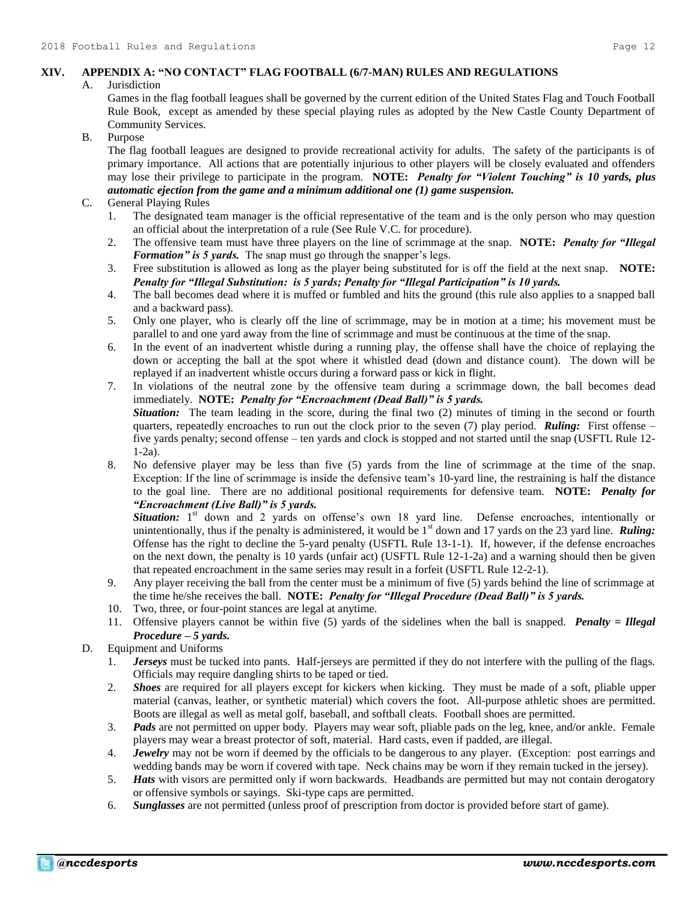# **XIV. APPENDIX A: "NO CONTACT" FLAG FOOTBALL (6/7-MAN) RULES AND REGULATIONS**

#### A. Jurisdiction

Games in the flag football leagues shall be governed by the current edition of the United States Flag and Touch Football Rule Book, except as amended by these special playing rules as adopted by the New Castle County Department of Community Services.

# B. Purpose

The flag football leagues are designed to provide recreational activity for adults. The safety of the participants is of primary importance. All actions that are potentially injurious to other players will be closely evaluated and offenders may lose their privilege to participate in the program. **NOTE:** *Penalty for "Violent Touching" is 10 yards, plus automatic ejection from the game and a minimum additional one (1) game suspension.*

# C. General Playing Rules

- 1. The designated team manager is the official representative of the team and is the only person who may question an official about the interpretation of a rule (See Rule V.C. for procedure).
- 2. The offensive team must have three players on the line of scrimmage at the snap. **NOTE:** *Penalty for "Illegal Formation" is 5 yards.* The snap must go through the snapper's legs.
- 3. Free substitution is allowed as long as the player being substituted for is off the field at the next snap. **NOTE:** *Penalty for "Illegal Substitution: is 5 yards; Penalty for "Illegal Participation" is 10 yards.*
- 4. The ball becomes dead where it is muffed or fumbled and hits the ground (this rule also applies to a snapped ball and a backward pass).
- 5. Only one player, who is clearly off the line of scrimmage, may be in motion at a time; his movement must be parallel to and one yard away from the line of scrimmage and must be continuous at the time of the snap.
- 6. In the event of an inadvertent whistle during a running play, the offense shall have the choice of replaying the down or accepting the ball at the spot where it whistled dead (down and distance count). The down will be replayed if an inadvertent whistle occurs during a forward pass or kick in flight.
- 7. In violations of the neutral zone by the offensive team during a scrimmage down, the ball becomes dead immediately. **NOTE:** *Penalty for "Encroachment (Dead Ball)" is 5 yards. Situation:* The team leading in the score, during the final two (2) minutes of timing in the second or fourth quarters, repeatedly encroaches to run out the clock prior to the seven (7) play period. *Ruling:* First offense – five yards penalty; second offense – ten yards and clock is stopped and not started until the snap (USFTL Rule 12- 1-2a).
- 8. No defensive player may be less than five (5) yards from the line of scrimmage at the time of the snap. Exception: If the line of scrimmage is inside the defensive team's 10-yard line, the restraining is half the distance to the goal line. There are no additional positional requirements for defensive team. **NOTE:** *Penalty for "Encroachment (Live Ball)" is 5 yards.*

Situation: 1<sup>st</sup> down and 2 yards on offense's own 18 yard line. Defense encroaches, intentionally or unintentionally, thus if the penalty is administered, it would be  $1<sup>st</sup>$  down and 17 yards on the 23 yard line. **Ruling:** Offense has the right to decline the 5-yard penalty (USFTL Rule 13-1-1). If, however, if the defense encroaches on the next down, the penalty is 10 yards (unfair act) (USFTL Rule 12-1-2a) and a warning should then be given that repeated encroachment in the same series may result in a forfeit (USFTL Rule 12-2-1).

- 9. Any player receiving the ball from the center must be a minimum of five (5) yards behind the line of scrimmage at the time he/she receives the ball. **NOTE:** *Penalty for "Illegal Procedure (Dead Ball)" is 5 yards.*
- 10. Two, three, or four-point stances are legal at anytime.
- 11. Offensive players cannot be within five (5) yards of the sidelines when the ball is snapped. *Penalty = Illegal Procedure – 5 yards.*
- D. Equipment and Uniforms
	- 1. *Jerseys* must be tucked into pants. Half-jerseys are permitted if they do not interfere with the pulling of the flags. Officials may require dangling shirts to be taped or tied.
	- 2. *Shoes* are required for all players except for kickers when kicking. They must be made of a soft, pliable upper material (canvas, leather, or synthetic material) which covers the foot. All-purpose athletic shoes are permitted. Boots are illegal as well as metal golf, baseball, and softball cleats. Football shoes are permitted.
	- 3. *Pads* are not permitted on upper body. Players may wear soft, pliable pads on the leg, knee, and/or ankle. Female players may wear a breast protector of soft, material. Hard casts, even if padded, are illegal.
	- 4. *Jewelry* may not be worn if deemed by the officials to be dangerous to any player. (Exception: post earrings and wedding bands may be worn if covered with tape. Neck chains may be worn if they remain tucked in the jersey).
	- 5. *Hats* with visors are permitted only if worn backwards. Headbands are permitted but may not contain derogatory or offensive symbols or sayings. Ski-type caps are permitted.
	- 6. *Sunglasses* are not permitted (unless proof of prescription from doctor is provided before start of game).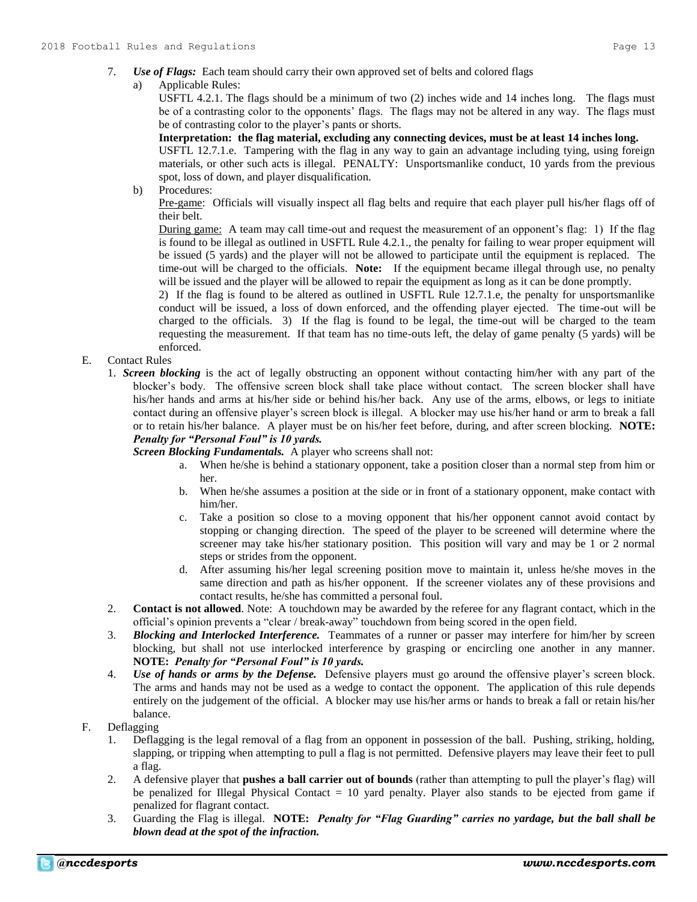#### a) Applicable Rules:

USFTL 4.2.1. The flags should be a minimum of two (2) inches wide and 14 inches long. The flags must be of a contrasting color to the opponents' flags. The flags may not be altered in any way. The flags must be of contrasting color to the player's pants or shorts.

#### **Interpretation: the flag material, excluding any connecting devices, must be at least 14 inches long.**

USFTL 12.7.1.e. Tampering with the flag in any way to gain an advantage including tying, using foreign materials, or other such acts is illegal. PENALTY: Unsportsmanlike conduct, 10 yards from the previous spot, loss of down, and player disqualification.

b) Procedures:

Pre-game: Officials will visually inspect all flag belts and require that each player pull his/her flags off of their belt.

During game: A team may call time-out and request the measurement of an opponent's flag: 1) If the flag is found to be illegal as outlined in USFTL Rule 4.2.1., the penalty for failing to wear proper equipment will be issued (5 yards) and the player will not be allowed to participate until the equipment is replaced. The time-out will be charged to the officials. **Note:** If the equipment became illegal through use, no penalty will be issued and the player will be allowed to repair the equipment as long as it can be done promptly.

2) If the flag is found to be altered as outlined in USFTL Rule 12.7.1.e, the penalty for unsportsmanlike conduct will be issued, a loss of down enforced, and the offending player ejected. The time-out will be charged to the officials. 3) If the flag is found to be legal, the time-out will be charged to the team requesting the measurement. If that team has no time-outs left, the delay of game penalty (5 yards) will be enforced.

# E. Contact Rules

1. *Screen blocking* is the act of legally obstructing an opponent without contacting him/her with any part of the blocker's body. The offensive screen block shall take place without contact. The screen blocker shall have his/her hands and arms at his/her side or behind his/her back. Any use of the arms, elbows, or legs to initiate contact during an offensive player's screen block is illegal. A blocker may use his/her hand or arm to break a fall or to retain his/her balance. A player must be on his/her feet before, during, and after screen blocking. **NOTE:**  *Penalty for "Personal Foul" is 10 yards.*

*Screen Blocking Fundamentals.* A player who screens shall not:

- a. When he/she is behind a stationary opponent, take a position closer than a normal step from him or her.
- b. When he/she assumes a position at the side or in front of a stationary opponent, make contact with him/her.
- c. Take a position so close to a moving opponent that his/her opponent cannot avoid contact by stopping or changing direction. The speed of the player to be screened will determine where the screener may take his/her stationary position. This position will vary and may be 1 or 2 normal steps or strides from the opponent.
- d. After assuming his/her legal screening position move to maintain it, unless he/she moves in the same direction and path as his/her opponent. If the screener violates any of these provisions and contact results, he/she has committed a personal foul.
- 2. **Contact is not allowed**. Note: A touchdown may be awarded by the referee for any flagrant contact, which in the official's opinion prevents a "clear / break-away" touchdown from being scored in the open field.
- 3. *Blocking and Interlocked Interference.* Teammates of a runner or passer may interfere for him/her by screen blocking, but shall not use interlocked interference by grasping or encircling one another in any manner. **NOTE:** *Penalty for "Personal Foul" is 10 yards.*
- 4. *Use of hands or arms by the Defense.* Defensive players must go around the offensive player's screen block. The arms and hands may not be used as a wedge to contact the opponent. The application of this rule depends entirely on the judgement of the official. A blocker may use his/her arms or hands to break a fall or retain his/her balance.
- F. Deflagging
	- 1. Deflagging is the legal removal of a flag from an opponent in possession of the ball. Pushing, striking, holding, slapping, or tripping when attempting to pull a flag is not permitted. Defensive players may leave their feet to pull a flag.
	- 2. A defensive player that **pushes a ball carrier out of bounds** (rather than attempting to pull the player's flag) will be penalized for Illegal Physical Contact = 10 yard penalty. Player also stands to be ejected from game if penalized for flagrant contact.
	- 3. Guarding the Flag is illegal. **NOTE:** *Penalty for "Flag Guarding" carries no yardage, but the ball shall be blown dead at the spot of the infraction.*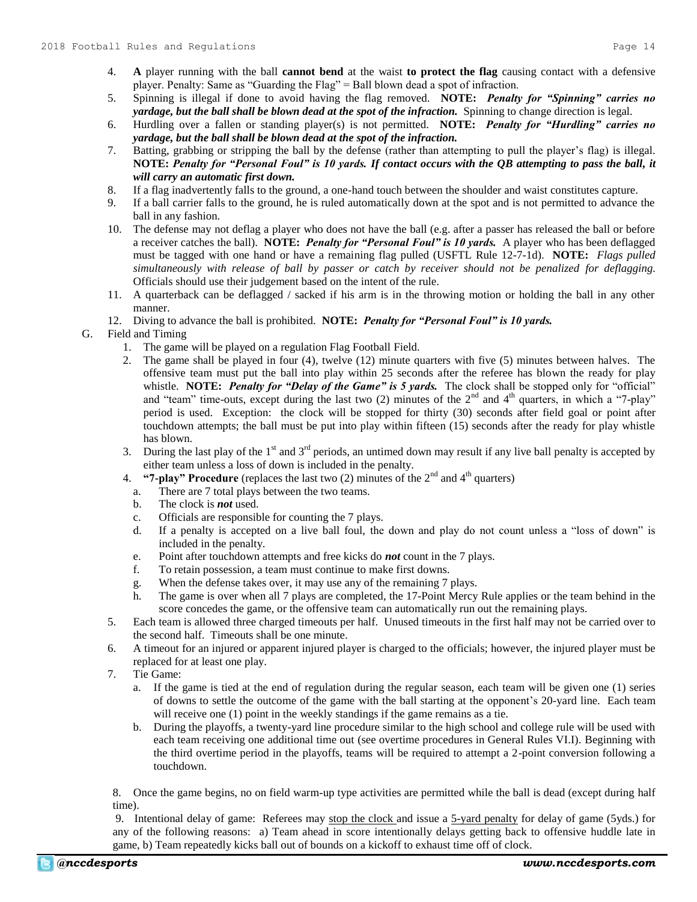- 4. **A** player running with the ball **cannot bend** at the waist **to protect the flag** causing contact with a defensive player. Penalty: Same as "Guarding the Flag" = Ball blown dead a spot of infraction.
- 5. Spinning is illegal if done to avoid having the flag removed. **NOTE:** *Penalty for "Spinning" carries no yardage, but the ball shall be blown dead at the spot of the infraction.* Spinning to change direction is legal.
- 6. Hurdling over a fallen or standing player(s) is not permitted. **NOTE:** *Penalty for "Hurdling" carries no yardage, but the ball shall be blown dead at the spot of the infraction.*
- 7. Batting, grabbing or stripping the ball by the defense (rather than attempting to pull the player's flag) is illegal. **NOTE:** *Penalty for "Personal Foul" is 10 yards. If contact occurs with the QB attempting to pass the ball, it will carry an automatic first down.*
- 8. If a flag inadvertently falls to the ground, a one-hand touch between the shoulder and waist constitutes capture.
- 9. If a ball carrier falls to the ground, he is ruled automatically down at the spot and is not permitted to advance the ball in any fashion.
- 10. The defense may not deflag a player who does not have the ball (e.g. after a passer has released the ball or before a receiver catches the ball). **NOTE:** *Penalty for "Personal Foul" is 10 yards.* A player who has been deflagged must be tagged with one hand or have a remaining flag pulled (USFTL Rule 12-7-1d). **NOTE:** *Flags pulled simultaneously with release of ball by passer or catch by receiver should not be penalized for deflagging.* Officials should use their judgement based on the intent of the rule.
- 11. A quarterback can be deflagged / sacked if his arm is in the throwing motion or holding the ball in any other manner.
- 12. Diving to advance the ball is prohibited. **NOTE:** *Penalty for "Personal Foul" is 10 yards.*

G. Field and Timing

- 1. The game will be played on a regulation Flag Football Field.
- 2. The game shall be played in four (4), twelve (12) minute quarters with five (5) minutes between halves. The offensive team must put the ball into play within 25 seconds after the referee has blown the ready for play whistle. **NOTE:** Penalty for "Delay of the Game" is 5 yards. The clock shall be stopped only for "official" and "team" time-outs, except during the last two (2) minutes of the  $2<sup>nd</sup>$  and  $4<sup>th</sup>$  quarters, in which a "7-play" period is used. Exception: the clock will be stopped for thirty (30) seconds after field goal or point after touchdown attempts; the ball must be put into play within fifteen (15) seconds after the ready for play whistle has blown.
- 3. During the last play of the  $1<sup>st</sup>$  and  $3<sup>rd</sup>$  periods, an untimed down may result if any live ball penalty is accepted by either team unless a loss of down is included in the penalty.
- 4. **"7-play" Procedure** (replaces the last two  $(2)$  minutes of the  $2<sup>nd</sup>$  and  $4<sup>th</sup>$  quarters)
	- a. There are 7 total plays between the two teams.
	- b. The clock is *not* used.
	- c. Officials are responsible for counting the 7 plays.
	- d. If a penalty is accepted on a live ball foul, the down and play do not count unless a "loss of down" is included in the penalty.
	- e. Point after touchdown attempts and free kicks do *not* count in the 7 plays.
	- f. To retain possession, a team must continue to make first downs.
	- g. When the defense takes over, it may use any of the remaining 7 plays.
	- h. The game is over when all 7 plays are completed, the 17-Point Mercy Rule applies or the team behind in the score concedes the game, or the offensive team can automatically run out the remaining plays.
- 5. Each team is allowed three charged timeouts per half. Unused timeouts in the first half may not be carried over to the second half. Timeouts shall be one minute.
- 6. A timeout for an injured or apparent injured player is charged to the officials; however, the injured player must be replaced for at least one play.
- 7. Tie Game:
	- a. If the game is tied at the end of regulation during the regular season, each team will be given one (1) series of downs to settle the outcome of the game with the ball starting at the opponent's 20-yard line. Each team will receive one (1) point in the weekly standings if the game remains as a tie.
	- b. During the playoffs, a twenty-yard line procedure similar to the high school and college rule will be used with each team receiving one additional time out (see overtime procedures in General Rules VI.I). Beginning with the third overtime period in the playoffs, teams will be required to attempt a 2-point conversion following a touchdown.

8. Once the game begins, no on field warm-up type activities are permitted while the ball is dead (except during half time).

9. Intentional delay of game: Referees may stop the clock and issue a 5-yard penalty for delay of game (5yds.) for any of the following reasons: a) Team ahead in score intentionally delays getting back to offensive huddle late in game, b) Team repeatedly kicks ball out of bounds on a kickoff to exhaust time off of clock.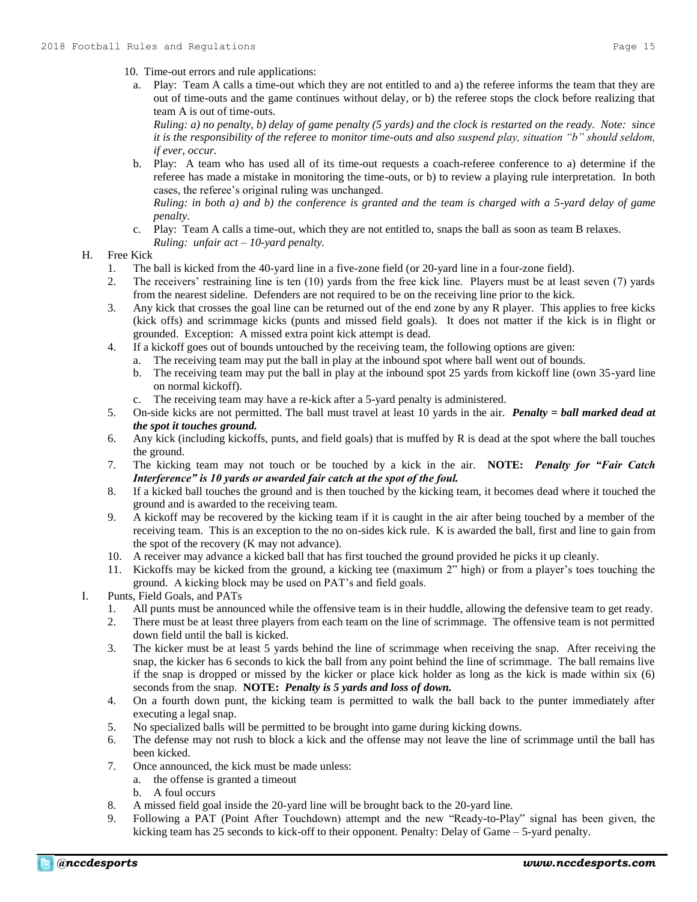- 10. Time-out errors and rule applications:
	- a. Play: Team A calls a time-out which they are not entitled to and a) the referee informs the team that they are out of time-outs and the game continues without delay, or b) the referee stops the clock before realizing that team A is out of time-outs.

*Ruling: a) no penalty, b) delay of game penalty (5 yards) and the clock is restarted on the ready. Note: since it is the responsibility of the referee to monitor time-outs and also suspend play, situation "b" should seldom, if ever, occur.*

b. Play: A team who has used all of its time-out requests a coach-referee conference to a) determine if the referee has made a mistake in monitoring the time-outs, or b) to review a playing rule interpretation. In both cases, the referee's original ruling was unchanged.

*Ruling: in both a) and b) the conference is granted and the team is charged with a 5-yard delay of game penalty.*

c. Play: Team A calls a time-out, which they are not entitled to, snaps the ball as soon as team B relaxes. *Ruling: unfair act – 10-yard penalty.*

#### H. Free Kick

- 1. The ball is kicked from the 40-yard line in a five-zone field (or 20-yard line in a four-zone field).
- 2. The receivers' restraining line is ten (10) yards from the free kick line. Players must be at least seven (7) yards from the nearest sideline. Defenders are not required to be on the receiving line prior to the kick.
- 3. Any kick that crosses the goal line can be returned out of the end zone by any R player. This applies to free kicks (kick offs) and scrimmage kicks (punts and missed field goals). It does not matter if the kick is in flight or grounded. Exception: A missed extra point kick attempt is dead.
- 4. If a kickoff goes out of bounds untouched by the receiving team, the following options are given:
	- a. The receiving team may put the ball in play at the inbound spot where ball went out of bounds.
		- b. The receiving team may put the ball in play at the inbound spot 25 yards from kickoff line (own 35-yard line on normal kickoff).
		- c. The receiving team may have a re-kick after a 5-yard penalty is administered.
- 5. On-side kicks are not permitted. The ball must travel at least 10 yards in the air. *Penalty = ball marked dead at the spot it touches ground.*
- 6. Any kick (including kickoffs, punts, and field goals) that is muffed by R is dead at the spot where the ball touches the ground.
- 7. The kicking team may not touch or be touched by a kick in the air. **NOTE:** *Penalty for "Fair Catch Interference" is 10 yards or awarded fair catch at the spot of the foul.*
- 8. If a kicked ball touches the ground and is then touched by the kicking team, it becomes dead where it touched the ground and is awarded to the receiving team.
- 9. A kickoff may be recovered by the kicking team if it is caught in the air after being touched by a member of the receiving team. This is an exception to the no on-sides kick rule. K is awarded the ball, first and line to gain from the spot of the recovery (K may not advance).
- 10. A receiver may advance a kicked ball that has first touched the ground provided he picks it up cleanly.
- 11. Kickoffs may be kicked from the ground, a kicking tee (maximum 2" high) or from a player's toes touching the ground. A kicking block may be used on PAT's and field goals.
- I. Punts, Field Goals, and PATs
	- 1. All punts must be announced while the offensive team is in their huddle, allowing the defensive team to get ready.
	- 2. There must be at least three players from each team on the line of scrimmage. The offensive team is not permitted down field until the ball is kicked.
	- 3. The kicker must be at least 5 yards behind the line of scrimmage when receiving the snap. After receiving the snap, the kicker has 6 seconds to kick the ball from any point behind the line of scrimmage. The ball remains live if the snap is dropped or missed by the kicker or place kick holder as long as the kick is made within six (6) seconds from the snap. **NOTE:** *Penalty is 5 yards and loss of down.*
	- 4. On a fourth down punt, the kicking team is permitted to walk the ball back to the punter immediately after executing a legal snap.
	- 5. No specialized balls will be permitted to be brought into game during kicking downs.
	- 6. The defense may not rush to block a kick and the offense may not leave the line of scrimmage until the ball has been kicked.
	- 7. Once announced, the kick must be made unless:
		- a. the offense is granted a timeout
			- b. A foul occurs
	- 8. A missed field goal inside the 20-yard line will be brought back to the 20-yard line.
	- 9. Following a PAT (Point After Touchdown) attempt and the new "Ready-to-Play" signal has been given, the kicking team has 25 seconds to kick-off to their opponent. Penalty: Delay of Game – 5-yard penalty.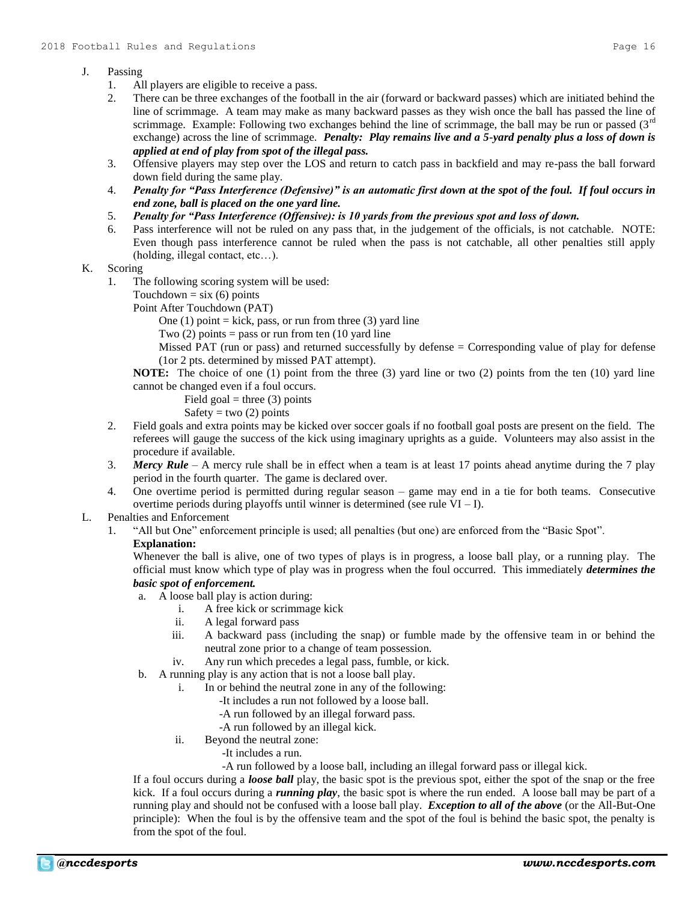# J. Passing

- 1. All players are eligible to receive a pass.
- 2. There can be three exchanges of the football in the air (forward or backward passes) which are initiated behind the line of scrimmage. A team may make as many backward passes as they wish once the ball has passed the line of scrimmage. Example: Following two exchanges behind the line of scrimmage, the ball may be run or passed  $(3<sup>rd</sup>$ exchange) across the line of scrimmage. *Penalty: Play remains live and a 5-yard penalty plus a loss of down is applied at end of play from spot of the illegal pass.*
- 3. Offensive players may step over the LOS and return to catch pass in backfield and may re-pass the ball forward down field during the same play.
- 4. *Penalty for "Pass Interference (Defensive)" is an automatic first down at the spot of the foul. If foul occurs in end zone, ball is placed on the one yard line.*
- 5. *Penalty for "Pass Interference (Offensive): is 10 yards from the previous spot and loss of down.*
- 6. Pass interference will not be ruled on any pass that, in the judgement of the officials, is not catchable. NOTE: Even though pass interference cannot be ruled when the pass is not catchable, all other penalties still apply (holding, illegal contact, etc…).

## K. Scoring

1. The following scoring system will be used:

Touchdown =  $six(6)$  points

Point After Touchdown (PAT)

One  $(1)$  point = kick, pass, or run from three  $(3)$  yard line

Two  $(2)$  points = pass or run from ten  $(10 \text{ yard line})$ 

Missed PAT (run or pass) and returned successfully by defense = Corresponding value of play for defense (1or 2 pts. determined by missed PAT attempt).

**NOTE:** The choice of one (1) point from the three (3) yard line or two (2) points from the ten (10) yard line cannot be changed even if a foul occurs.

Field goal = three  $(3)$  points

Safety = two  $(2)$  points

- 2. Field goals and extra points may be kicked over soccer goals if no football goal posts are present on the field. The referees will gauge the success of the kick using imaginary uprights as a guide. Volunteers may also assist in the procedure if available.
- 3. *Mercy Rule* A mercy rule shall be in effect when a team is at least 17 points ahead anytime during the 7 play period in the fourth quarter. The game is declared over.
- 4. One overtime period is permitted during regular season game may end in a tie for both teams. Consecutive overtime periods during playoffs until winner is determined (see rule  $VI - I$ ).

# L. Penalties and Enforcement

1. "All but One" enforcement principle is used; all penalties (but one) are enforced from the "Basic Spot".

# **Explanation:**

Whenever the ball is alive, one of two types of plays is in progress, a loose ball play, or a running play. The official must know which type of play was in progress when the foul occurred. This immediately *determines the basic spot of enforcement.*

- a. A loose ball play is action during:
	- i. A free kick or scrimmage kick
	- ii. A legal forward pass
	- iii. A backward pass (including the snap) or fumble made by the offensive team in or behind the neutral zone prior to a change of team possession.
	- iv. Any run which precedes a legal pass, fumble, or kick.
- b. A running play is any action that is not a loose ball play.
	- i. In or behind the neutral zone in any of the following:
		- -It includes a run not followed by a loose ball.
		- -A run followed by an illegal forward pass.
		- -A run followed by an illegal kick.
	- ii. Beyond the neutral zone:
		- -It includes a run.
		- -A run followed by a loose ball, including an illegal forward pass or illegal kick.

If a foul occurs during a *loose ball* play, the basic spot is the previous spot, either the spot of the snap or the free kick. If a foul occurs during a *running play*, the basic spot is where the run ended. A loose ball may be part of a running play and should not be confused with a loose ball play. *Exception to all of the above* (or the All-But-One principle): When the foul is by the offensive team and the spot of the foul is behind the basic spot, the penalty is from the spot of the foul.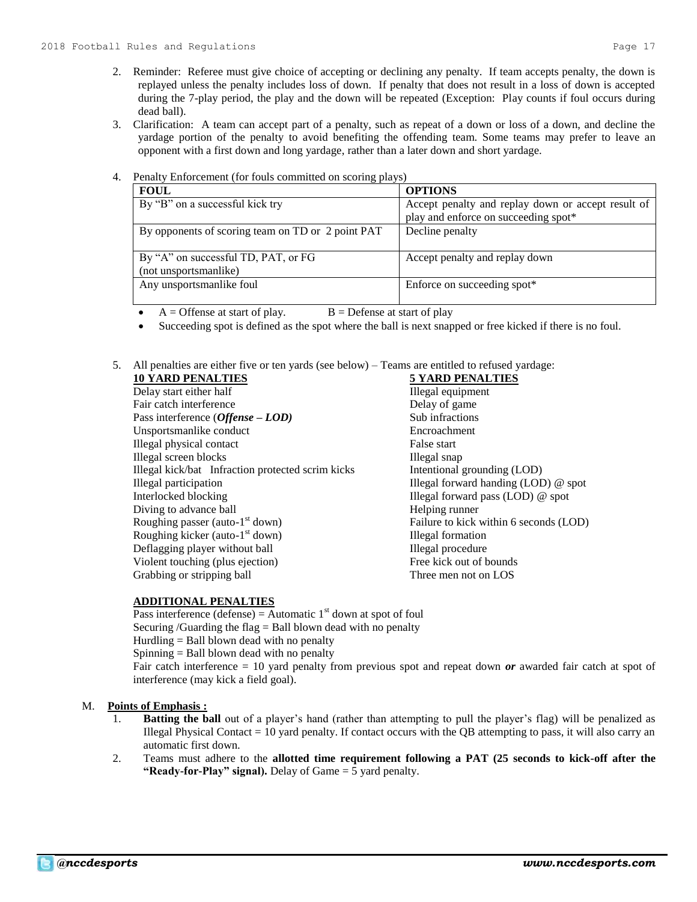- 3. Clarification: A team can accept part of a penalty, such as repeat of a down or loss of a down, and decline the yardage portion of the penalty to avoid benefiting the offending team. Some teams may prefer to leave an opponent with a first down and long yardage, rather than a later down and short yardage.
- 4. Penalty Enforcement (for fouls committed on scoring plays)

| <b>FOUL</b>                                       | <b>OPTIONS</b>                                     |
|---------------------------------------------------|----------------------------------------------------|
| By "B" on a successful kick try                   | Accept penalty and replay down or accept result of |
|                                                   | play and enforce on succeeding spot*               |
| By opponents of scoring team on TD or 2 point PAT | Decline penalty                                    |
|                                                   |                                                    |
| By "A" on successful TD, PAT, or FG               | Accept penalty and replay down                     |
| (not unsportsmanlike)                             |                                                    |
| Any unsportsmanlike foul                          | Enforce on succeeding spot*                        |
|                                                   |                                                    |

- $A =$  Offense at start of play.  $B =$  Defense at start of play
- Succeeding spot is defined as the spot where the ball is next snapped or free kicked if there is no foul.
- 5. All penalties are either five or ten yards (see below) Teams are entitled to refused yardage:

| <b>10 YARD PENALTIES</b>                          | <b>5 YARD PENALTIES</b>                |
|---------------------------------------------------|----------------------------------------|
| Delay start either half                           | Illegal equipment                      |
| Fair catch interference                           | Delay of game                          |
| Pass interference $(Offense - LOD)$               | Sub infractions                        |
| Unsportsmanlike conduct                           | Encroachment                           |
| Illegal physical contact                          | False start                            |
| Illegal screen blocks                             | Illegal snap                           |
| Illegal kick/bat Infraction protected scrim kicks | Intentional grounding (LOD)            |
| Illegal participation                             | Illegal forward handing $(LOD)$ @ spot |
| Interlocked blocking                              | Illegal forward pass (LOD) @ spot      |
| Diving to advance ball                            | Helping runner                         |
| Roughing passer (auto- $1st$ down)                | Failure to kick within 6 seconds (LOD) |
| Roughing kicker (auto- $1st$ down)                | Illegal formation                      |
| Deflagging player without ball                    | Illegal procedure                      |
| Violent touching (plus ejection)                  | Free kick out of bounds                |
| Grabbing or stripping ball                        | Three men not on LOS                   |

## **ADDITIONAL PENALTIES**

Pass interference (defense) = Automatic  $1<sup>st</sup>$  down at spot of foul Securing /Guarding the flag  $=$  Ball blown dead with no penalty Hurdling  $=$  Ball blown dead with no penalty Spinning = Ball blown dead with no penalty Fair catch interference = 10 yard penalty from previous spot and repeat down *or* awarded fair catch at spot of interference (may kick a field goal).

## M. **Points of Emphasis :**

- 1. **Batting the ball** out of a player's hand (rather than attempting to pull the player's flag) will be penalized as Illegal Physical Contact  $= 10$  yard penalty. If contact occurs with the QB attempting to pass, it will also carry an automatic first down.
- 2. Teams must adhere to the **allotted time requirement following a PAT (25 seconds to kick-off after the "Ready-for-Play" signal).** Delay of Game = 5 yard penalty.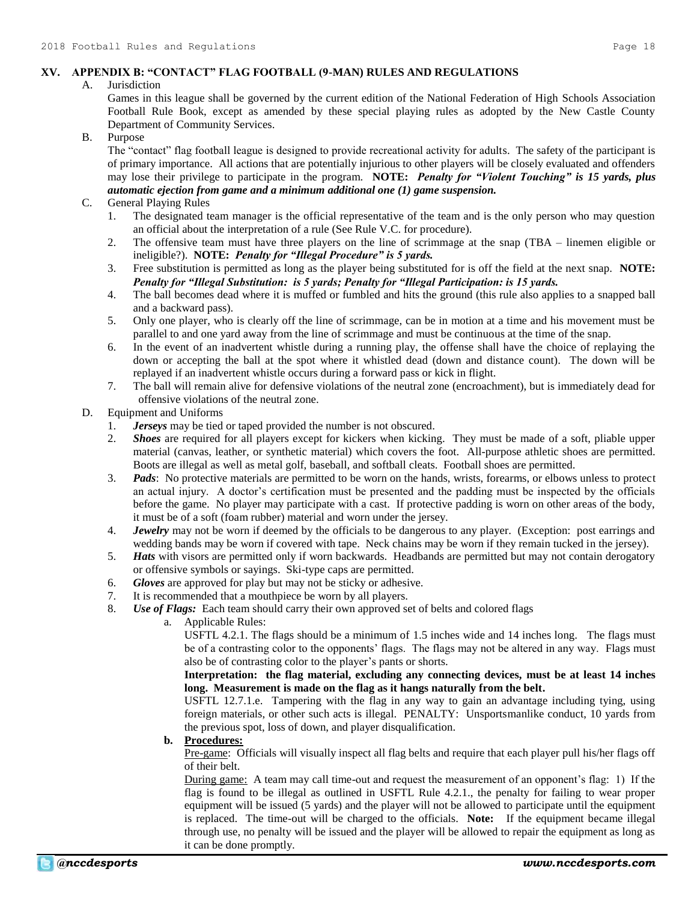# **XV. APPENDIX B: "CONTACT" FLAG FOOTBALL (9-MAN) RULES AND REGULATIONS**

#### A. Jurisdiction

Games in this league shall be governed by the current edition of the National Federation of High Schools Association Football Rule Book, except as amended by these special playing rules as adopted by the New Castle County Department of Community Services.

#### B. Purpose

The "contact" flag football league is designed to provide recreational activity for adults. The safety of the participant is of primary importance. All actions that are potentially injurious to other players will be closely evaluated and offenders may lose their privilege to participate in the program. **NOTE:** *Penalty for "Violent Touching" is 15 yards, plus automatic ejection from game and a minimum additional one (1) game suspension.*

#### C. General Playing Rules

- 1. The designated team manager is the official representative of the team and is the only person who may question an official about the interpretation of a rule (See Rule V.C. for procedure).
- 2. The offensive team must have three players on the line of scrimmage at the snap (TBA linemen eligible or ineligible?). **NOTE:** *Penalty for "Illegal Procedure" is 5 yards.*
- 3. Free substitution is permitted as long as the player being substituted for is off the field at the next snap. **NOTE:** *Penalty for "Illegal Substitution: is 5 yards; Penalty for "Illegal Participation: is 15 yards.*
- 4. The ball becomes dead where it is muffed or fumbled and hits the ground (this rule also applies to a snapped ball and a backward pass).
- 5. Only one player, who is clearly off the line of scrimmage, can be in motion at a time and his movement must be parallel to and one yard away from the line of scrimmage and must be continuous at the time of the snap.
- 6. In the event of an inadvertent whistle during a running play, the offense shall have the choice of replaying the down or accepting the ball at the spot where it whistled dead (down and distance count). The down will be replayed if an inadvertent whistle occurs during a forward pass or kick in flight.
- 7. The ball will remain alive for defensive violations of the neutral zone (encroachment), but is immediately dead for offensive violations of the neutral zone.

#### D. Equipment and Uniforms

- 1. *Jerseys* may be tied or taped provided the number is not obscured.
- 2. *Shoes* are required for all players except for kickers when kicking. They must be made of a soft, pliable upper material (canvas, leather, or synthetic material) which covers the foot. All-purpose athletic shoes are permitted. Boots are illegal as well as metal golf, baseball, and softball cleats. Football shoes are permitted.
- 3. *Pads*: No protective materials are permitted to be worn on the hands, wrists, forearms, or elbows unless to protect an actual injury. A doctor's certification must be presented and the padding must be inspected by the officials before the game. No player may participate with a cast. If protective padding is worn on other areas of the body, it must be of a soft (foam rubber) material and worn under the jersey.
- 4. *Jewelry* may not be worn if deemed by the officials to be dangerous to any player. (Exception: post earrings and wedding bands may be worn if covered with tape. Neck chains may be worn if they remain tucked in the jersey).
- 5. *Hats* with visors are permitted only if worn backwards. Headbands are permitted but may not contain derogatory or offensive symbols or sayings. Ski-type caps are permitted.
- 6. *Gloves* are approved for play but may not be sticky or adhesive.
- 7. It is recommended that a mouthpiece be worn by all players.
- 8. *Use of Flags:* Each team should carry their own approved set of belts and colored flags
	- a. Applicable Rules:

USFTL 4.2.1. The flags should be a minimum of 1.5 inches wide and 14 inches long. The flags must be of a contrasting color to the opponents' flags. The flags may not be altered in any way. Flags must also be of contrasting color to the player's pants or shorts.

**Interpretation: the flag material, excluding any connecting devices, must be at least 14 inches long. Measurement is made on the flag as it hangs naturally from the belt.**

USFTL 12.7.1.e. Tampering with the flag in any way to gain an advantage including tying, using foreign materials, or other such acts is illegal. PENALTY: Unsportsmanlike conduct, 10 yards from the previous spot, loss of down, and player disqualification.

## **b. Procedures:**

Pre-game: Officials will visually inspect all flag belts and require that each player pull his/her flags off of their belt.

During game: A team may call time-out and request the measurement of an opponent's flag: 1) If the flag is found to be illegal as outlined in USFTL Rule 4.2.1., the penalty for failing to wear proper equipment will be issued (5 yards) and the player will not be allowed to participate until the equipment is replaced. The time-out will be charged to the officials. **Note:** If the equipment became illegal through use, no penalty will be issued and the player will be allowed to repair the equipment as long as it can be done promptly.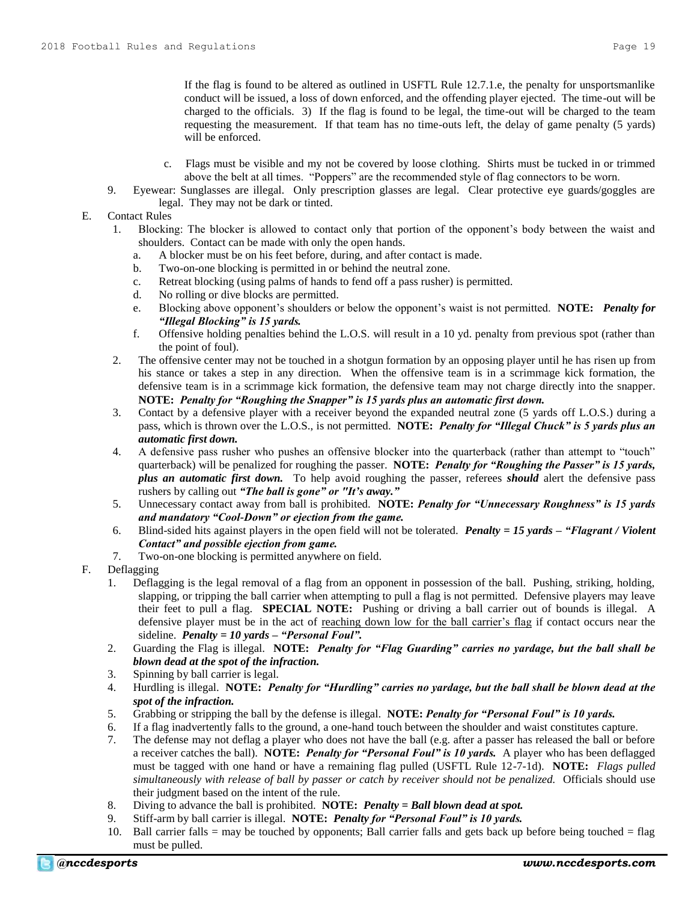If the flag is found to be altered as outlined in USFTL Rule 12.7.1.e, the penalty for unsportsmanlike conduct will be issued, a loss of down enforced, and the offending player ejected. The time-out will be charged to the officials. 3) If the flag is found to be legal, the time-out will be charged to the team requesting the measurement. If that team has no time-outs left, the delay of game penalty (5 yards) will be enforced.

- c. Flags must be visible and my not be covered by loose clothing. Shirts must be tucked in or trimmed above the belt at all times. "Poppers" are the recommended style of flag connectors to be worn.
- 9. Eyewear: Sunglasses are illegal. Only prescription glasses are legal. Clear protective eye guards/goggles are legal. They may not be dark or tinted.
- E. Contact Rules
	- 1. Blocking: The blocker is allowed to contact only that portion of the opponent's body between the waist and shoulders. Contact can be made with only the open hands.
		- a. A blocker must be on his feet before, during, and after contact is made.
		- b. Two-on-one blocking is permitted in or behind the neutral zone.
		- c. Retreat blocking (using palms of hands to fend off a pass rusher) is permitted.
		- d. No rolling or dive blocks are permitted.
		- e. Blocking above opponent's shoulders or below the opponent's waist is not permitted. **NOTE:** *Penalty for "Illegal Blocking" is 15 yards.*
		- f. Offensive holding penalties behind the L.O.S. will result in a 10 yd. penalty from previous spot (rather than the point of foul).
	- 2. The offensive center may not be touched in a shotgun formation by an opposing player until he has risen up from his stance or takes a step in any direction. When the offensive team is in a scrimmage kick formation, the defensive team is in a scrimmage kick formation, the defensive team may not charge directly into the snapper. **NOTE:** *Penalty for "Roughing the Snapper" is 15 yards plus an automatic first down.*
	- 3. Contact by a defensive player with a receiver beyond the expanded neutral zone (5 yards off L.O.S.) during a pass, which is thrown over the L.O.S., is not permitted. **NOTE:** *Penalty for "Illegal Chuck" is 5 yards plus an automatic first down.*
	- 4. A defensive pass rusher who pushes an offensive blocker into the quarterback (rather than attempt to "touch" quarterback) will be penalized for roughing the passer. **NOTE:** *Penalty for "Roughing the Passer" is 15 yards, plus an automatic first down.* To help avoid roughing the passer, referees *should* alert the defensive pass rushers by calling out *"The ball is gone" or "It's away."*
	- 5. Unnecessary contact away from ball is prohibited. **NOTE:** *Penalty for "Unnecessary Roughness" is 15 yards and mandatory "Cool-Down" or ejection from the game.*
	- 6. Blind-sided hits against players in the open field will not be tolerated. *Penalty = 15 yards – "Flagrant / Violent Contact" and possible ejection from game.*
	- 7. Two-on-one blocking is permitted anywhere on field.
- F. Deflagging
	- 1. Deflagging is the legal removal of a flag from an opponent in possession of the ball. Pushing, striking, holding, slapping, or tripping the ball carrier when attempting to pull a flag is not permitted. Defensive players may leave their feet to pull a flag. **SPECIAL NOTE:** Pushing or driving a ball carrier out of bounds is illegal. A defensive player must be in the act of reaching down low for the ball carrier's flag if contact occurs near the sideline. *Penalty = 10 yards – "Personal Foul".*
	- 2. Guarding the Flag is illegal. **NOTE:** *Penalty for "Flag Guarding" carries no yardage, but the ball shall be blown dead at the spot of the infraction.*
	- 3. Spinning by ball carrier is legal.
	- 4. Hurdling is illegal. **NOTE:** *Penalty for "Hurdling" carries no yardage, but the ball shall be blown dead at the spot of the infraction.*
	- 5. Grabbing or stripping the ball by the defense is illegal. **NOTE:** *Penalty for "Personal Foul" is 10 yards.*
	- 6. If a flag inadvertently falls to the ground, a one-hand touch between the shoulder and waist constitutes capture.
	- 7. The defense may not deflag a player who does not have the ball (e.g. after a passer has released the ball or before a receiver catches the ball). **NOTE:** *Penalty for "Personal Foul" is 10 yards.* A player who has been deflagged must be tagged with one hand or have a remaining flag pulled (USFTL Rule 12-7-1d). **NOTE:** *Flags pulled simultaneously with release of ball by passer or catch by receiver should not be penalized.*Officials should use their judgment based on the intent of the rule.
	- 8. Diving to advance the ball is prohibited. **NOTE:** *Penalty = Ball blown dead at spot.*
	- 9. Stiff-arm by ball carrier is illegal. **NOTE:** *Penalty for "Personal Foul" is 10 yards.*
	- 10. Ball carrier falls = may be touched by opponents; Ball carrier falls and gets back up before being touched = flag must be pulled.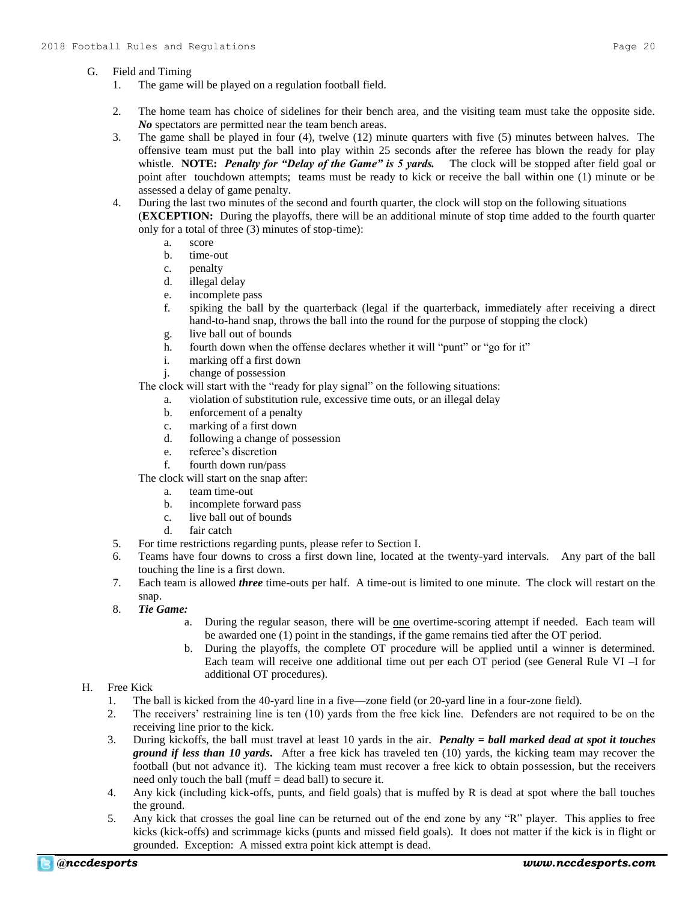#### G. Field and Timing

- 1. The game will be played on a regulation football field.
- 2. The home team has choice of sidelines for their bench area, and the visiting team must take the opposite side. *No* spectators are permitted near the team bench areas.
- 3. The game shall be played in four (4), twelve (12) minute quarters with five (5) minutes between halves. The offensive team must put the ball into play within 25 seconds after the referee has blown the ready for play whistle. **NOTE:** *Penalty for "Delay of the Game" is 5 yards.* The clock will be stopped after field goal or point after touchdown attempts; teams must be ready to kick or receive the ball within one (1) minute or be assessed a delay of game penalty.
- 4. During the last two minutes of the second and fourth quarter, the clock will stop on the following situations (**EXCEPTION:** During the playoffs, there will be an additional minute of stop time added to the fourth quarter only for a total of three (3) minutes of stop-time):
	- a. score
	- b. time-out
	- c. penalty
	- d. illegal delay
	- e. incomplete pass
	- f. spiking the ball by the quarterback (legal if the quarterback, immediately after receiving a direct hand-to-hand snap, throws the ball into the round for the purpose of stopping the clock)
	- g. live ball out of bounds
	- h. fourth down when the offense declares whether it will "punt" or "go for it"
	- i. marking off a first down
	- j. change of possession

The clock will start with the "ready for play signal" on the following situations:

- a. violation of substitution rule, excessive time outs, or an illegal delay
- b. enforcement of a penalty
- c. marking of a first down
- d. following a change of possession
- e. referee's discretion
- f. fourth down run/pass

The clock will start on the snap after:

- a. team time-out
- b. incomplete forward pass
- c. live ball out of bounds
- d. fair catch
- 5. For time restrictions regarding punts, please refer to Section I.
- 6. Teams have four downs to cross a first down line, located at the twenty-yard intervals. Any part of the ball touching the line is a first down.
- 7. Each team is allowed *three* time-outs per half. A time-out is limited to one minute. The clock will restart on the snap.
- 8. *Tie Game:*
	- a. During the regular season, there will be one overtime-scoring attempt if needed. Each team will be awarded one (1) point in the standings, if the game remains tied after the OT period.
	- b. During the playoffs, the complete OT procedure will be applied until a winner is determined. Each team will receive one additional time out per each OT period (see General Rule VI –I for additional OT procedures).

## H. Free Kick

- 1. The ball is kicked from the 40-yard line in a five—zone field (or 20-yard line in a four-zone field).
- 2. The receivers' restraining line is ten (10) yards from the free kick line. Defenders are not required to be on the receiving line prior to the kick.
- 3. During kickoffs, the ball must travel at least 10 yards in the air. *Penalty = ball marked dead at spot it touches ground if less than 10 yards.* After a free kick has traveled ten (10) yards, the kicking team may recover the football (but not advance it). The kicking team must recover a free kick to obtain possession, but the receivers need only touch the ball (muff = dead ball) to secure it.
- 4. Any kick (including kick-offs, punts, and field goals) that is muffed by R is dead at spot where the ball touches the ground.
- 5. Any kick that crosses the goal line can be returned out of the end zone by any "R" player. This applies to free kicks (kick-offs) and scrimmage kicks (punts and missed field goals). It does not matter if the kick is in flight or grounded. Exception: A missed extra point kick attempt is dead.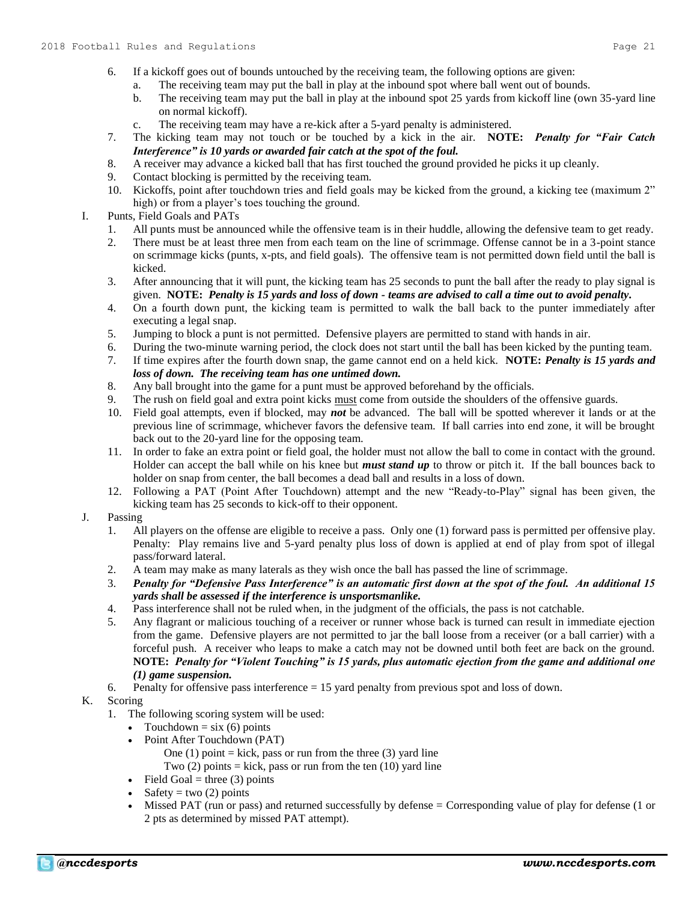- 6. If a kickoff goes out of bounds untouched by the receiving team, the following options are given:
	- a. The receiving team may put the ball in play at the inbound spot where ball went out of bounds.
		- b. The receiving team may put the ball in play at the inbound spot 25 yards from kickoff line (own 35-yard line on normal kickoff).
		- c. The receiving team may have a re-kick after a 5-yard penalty is administered.
- 7. The kicking team may not touch or be touched by a kick in the air. **NOTE:** *Penalty for "Fair Catch Interference" is 10 yards or awarded fair catch at the spot of the foul.*
- 8. A receiver may advance a kicked ball that has first touched the ground provided he picks it up cleanly.
- 9. Contact blocking is permitted by the receiving team.
- 10. Kickoffs, point after touchdown tries and field goals may be kicked from the ground, a kicking tee (maximum 2" high) or from a player's toes touching the ground.
- I. Punts, Field Goals and PATs
	- 1. All punts must be announced while the offensive team is in their huddle, allowing the defensive team to get ready.
	- 2. There must be at least three men from each team on the line of scrimmage. Offense cannot be in a 3-point stance on scrimmage kicks (punts, x-pts, and field goals). The offensive team is not permitted down field until the ball is kicked.
	- 3. After announcing that it will punt, the kicking team has 25 seconds to punt the ball after the ready to play signal is given. **NOTE:** *Penalty is 15 yards and loss of down - teams are advised to call a time out to avoid penalty.*
	- 4. On a fourth down punt, the kicking team is permitted to walk the ball back to the punter immediately after executing a legal snap.
	- 5. Jumping to block a punt is not permitted. Defensive players are permitted to stand with hands in air.
	- 6. During the two-minute warning period, the clock does not start until the ball has been kicked by the punting team.
	- 7. If time expires after the fourth down snap, the game cannot end on a held kick. **NOTE:** *Penalty is 15 yards and loss of down. The receiving team has one untimed down.*
	- 8. Any ball brought into the game for a punt must be approved beforehand by the officials.
	- 9. The rush on field goal and extra point kicks must come from outside the shoulders of the offensive guards.
	- 10. Field goal attempts, even if blocked, may *not* be advanced. The ball will be spotted wherever it lands or at the previous line of scrimmage, whichever favors the defensive team. If ball carries into end zone, it will be brought back out to the 20-yard line for the opposing team.
	- 11. In order to fake an extra point or field goal, the holder must not allow the ball to come in contact with the ground. Holder can accept the ball while on his knee but *must stand up* to throw or pitch it. If the ball bounces back to holder on snap from center, the ball becomes a dead ball and results in a loss of down.
	- 12. Following a PAT (Point After Touchdown) attempt and the new "Ready-to-Play" signal has been given, the kicking team has 25 seconds to kick-off to their opponent.
- J. Passing
	- 1. All players on the offense are eligible to receive a pass. Only one (1) forward pass is permitted per offensive play. Penalty: Play remains live and 5-yard penalty plus loss of down is applied at end of play from spot of illegal pass/forward lateral.
	- 2. A team may make as many laterals as they wish once the ball has passed the line of scrimmage.
	- 3. *Penalty for "Defensive Pass Interference" is an automatic first down at the spot of the foul. An additional 15 yards shall be assessed if the interference is unsportsmanlike.*
	- 4. Pass interference shall not be ruled when, in the judgment of the officials, the pass is not catchable.
	- 5. Any flagrant or malicious touching of a receiver or runner whose back is turned can result in immediate ejection from the game. Defensive players are not permitted to jar the ball loose from a receiver (or a ball carrier) with a forceful push. A receiver who leaps to make a catch may not be downed until both feet are back on the ground. **NOTE:** *Penalty for "Violent Touching" is 15 yards, plus automatic ejection from the game and additional one (1) game suspension.*
	- 6. Penalty for offensive pass interference = 15 yard penalty from previous spot and loss of down.

## K. Scoring

- 1. The following scoring system will be used:
	- Touchdown =  $\sin(6)$  points
	- Point After Touchdown (PAT)
		- One (1) point  $=$  kick, pass or run from the three (3) yard line
		- Two  $(2)$  points = kick, pass or run from the ten  $(10)$  yard line
	- $\bullet$  Field Goal = three (3) points
	- Safety = two  $(2)$  points
	- Missed PAT (run or pass) and returned successfully by defense = Corresponding value of play for defense (1 or 2 pts as determined by missed PAT attempt).